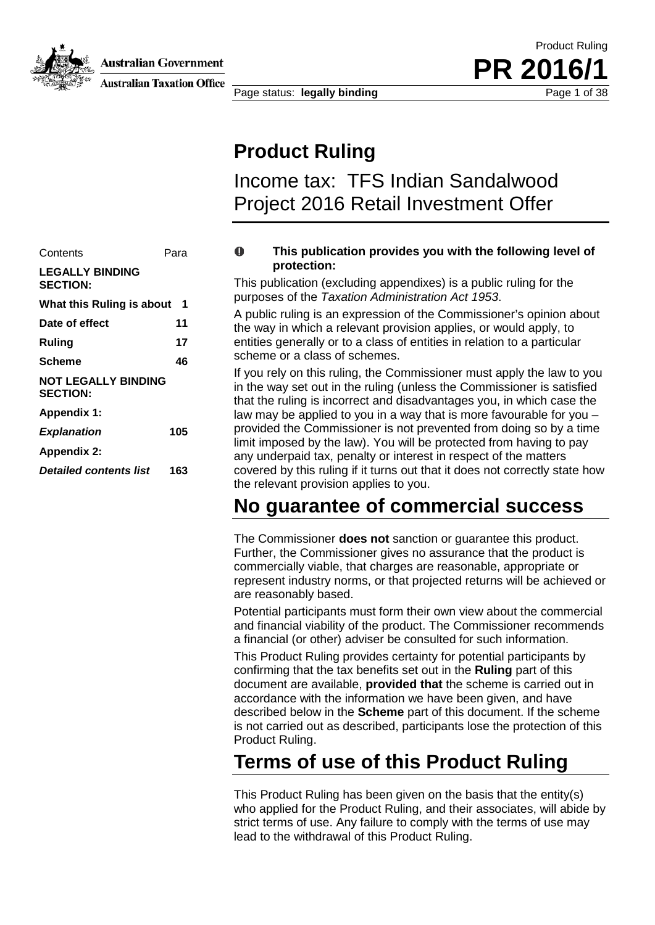

Australian Government

**Australian Taxation Office** 

Page status: **legally binding** Page 1 of 38

**PR** 201

Product Ruling

### **Product Ruling**

Income tax: TFS Indian Sandalwood Project 2016 Retail Investment Offer

#### Contents Para **LEGALLY BINDING SECTION: What this Ruling is about [1](#page-1-0) Date of effect 11 Ruling 17 Scheme 46 NOT LEGALLY BINDING SECTION: Appendix 1:** *Explanation* **105 Appendix 2:** *Detailed contents list* **163**

#### $\bullet$ **This publication provides you with the following level of protection:**

This publication (excluding appendixes) is a public ruling for the purposes of the *Taxation Administration Act 1953*.

A public ruling is an expression of the Commissioner's opinion about the way in which a relevant provision applies, or would apply, to entities generally or to a class of entities in relation to a particular scheme or a class of schemes.

If you rely on this ruling, the Commissioner must apply the law to you in the way set out in the ruling (unless the Commissioner is satisfied that the ruling is incorrect and disadvantages you, in which case the law may be applied to you in a way that is more favourable for you – provided the Commissioner is not prevented from doing so by a time limit imposed by the law). You will be protected from having to pay any underpaid tax, penalty or interest in respect of the matters covered by this ruling if it turns out that it does not correctly state how the relevant provision applies to you.

## **No guarantee of commercial success**

The Commissioner **does not** sanction or guarantee this product. Further, the Commissioner gives no assurance that the product is commercially viable, that charges are reasonable, appropriate or represent industry norms, or that projected returns will be achieved or are reasonably based.

Potential participants must form their own view about the commercial and financial viability of the product. The Commissioner recommends a financial (or other) adviser be consulted for such information.

This Product Ruling provides certainty for potential participants by confirming that the tax benefits set out in the **Ruling** part of this document are available, **provided that** the scheme is carried out in accordance with the information we have been given, and have described below in the **Scheme** part of this document. If the scheme is not carried out as described, participants lose the protection of this Product Ruling.

## **Terms of use of this Product Ruling**

This Product Ruling has been given on the basis that the entity(s) who applied for the Product Ruling, and their associates, will abide by strict terms of use. Any failure to comply with the terms of use may lead to the withdrawal of this Product Ruling.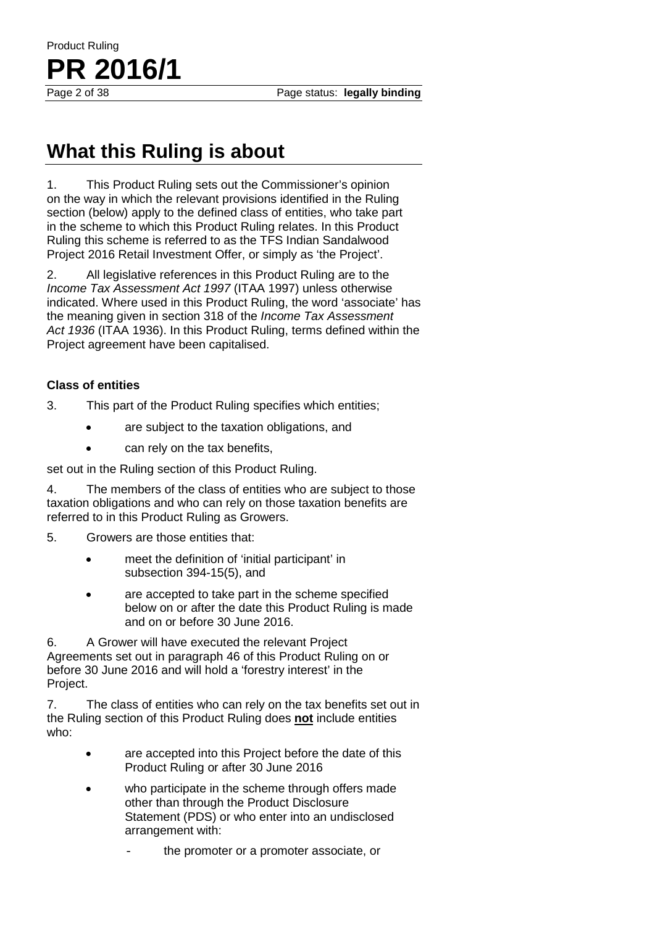# **What this Ruling is about**

<span id="page-1-0"></span>1. This Product Ruling sets out the Commissioner's opinion on the way in which the relevant provisions identified in the Ruling section (below) apply to the defined class of entities, who take part in the scheme to which this Product Ruling relates. In this Product Ruling this scheme is referred to as the TFS Indian Sandalwood Project 2016 Retail Investment Offer, or simply as 'the Project'.

2. All legislative references in this Product Ruling are to the *Income Tax Assessment Act 1997* (ITAA 1997) unless otherwise indicated. Where used in this Product Ruling, the word 'associate' has the meaning given in section 318 of the *Income Tax Assessment Act 1936* (ITAA 1936). In this Product Ruling, terms defined within the Project agreement have been capitalised.

#### **Class of entities**

Product Ruling

**PR 2016/1**

- 3. This part of the Product Ruling specifies which entities;
	- are subject to the taxation obligations, and
	- can rely on the tax benefits.

set out in the Ruling section of this Product Ruling.

4. The members of the class of entities who are subject to those taxation obligations and who can rely on those taxation benefits are referred to in this Product Ruling as Growers.

- 5. Growers are those entities that:
	- meet the definition of 'initial participant' in subsection 394-15(5), and
	- are accepted to take part in the scheme specified below on or after the date this Product Ruling is made and on or before 30 June 2016.

6. A Grower will have executed the relevant Project Agreements set out in paragraph 46 of this Product Ruling on or before 30 June 2016 and will hold a 'forestry interest' in the Project.

7. The class of entities who can rely on the tax benefits set out in the Ruling section of this Product Ruling does **not** include entities who:

- are accepted into this Project before the date of this Product Ruling or after 30 June 2016
- who participate in the scheme through offers made other than through the Product Disclosure Statement (PDS) or who enter into an undisclosed arrangement with:
	- the promoter or a promoter associate, or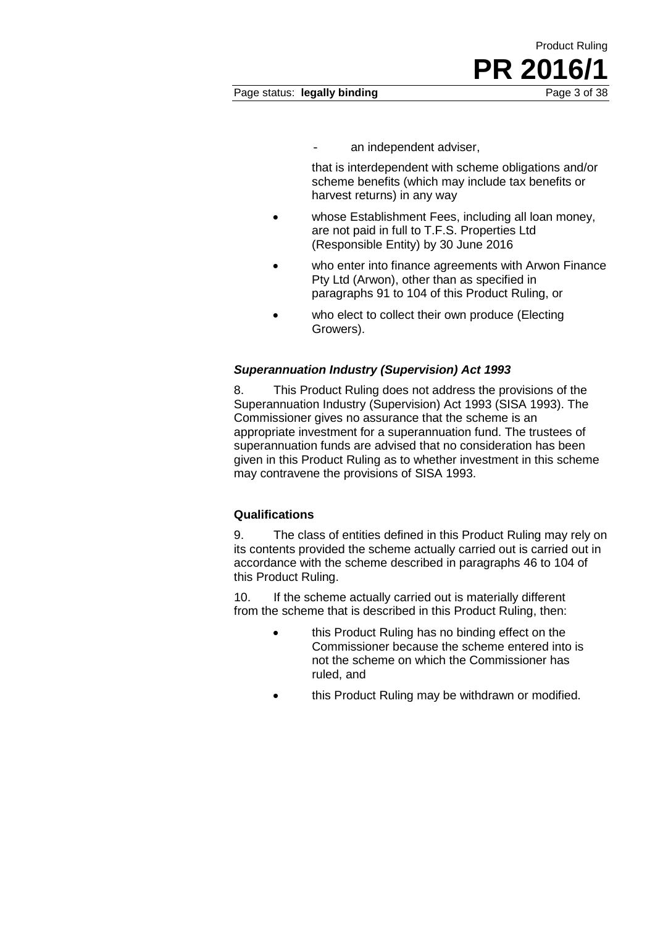an independent adviser,

that is interdependent with scheme obligations and/or scheme benefits (which may include tax benefits or harvest returns) in any way

- whose Establishment Fees, including all loan money. are not paid in full to T.F.S. Properties Ltd (Responsible Entity) by 30 June 2016
- who enter into finance agreements with Arwon Finance Pty Ltd (Arwon), other than as specified in paragraphs 91 to 104 of this Product Ruling, or
- who elect to collect their own produce (Electing Growers).

#### *Superannuation Industry (Supervision) Act 1993*

8. This Product Ruling does not address the provisions of the Superannuation Industry (Supervision) Act 1993 (SISA 1993). The Commissioner gives no assurance that the scheme is an appropriate investment for a superannuation fund. The trustees of superannuation funds are advised that no consideration has been given in this Product Ruling as to whether investment in this scheme may contravene the provisions of SISA 1993.

#### **Qualifications**

9. The class of entities defined in this Product Ruling may rely on its contents provided the scheme actually carried out is carried out in accordance with the scheme described in paragraphs 46 to 104 of this Product Ruling.

10. If the scheme actually carried out is materially different from the scheme that is described in this Product Ruling, then:

- this Product Ruling has no binding effect on the Commissioner because the scheme entered into is not the scheme on which the Commissioner has ruled, and
- this Product Ruling may be withdrawn or modified.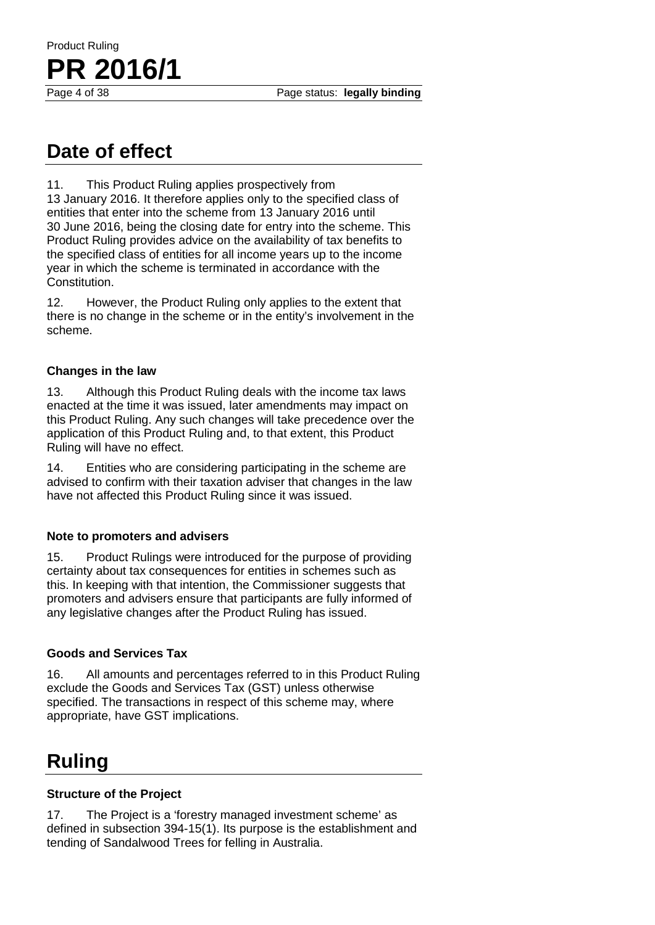Page status: legally binding

# **Date of effect**

**PR 2016/1**

Product Ruling

11. This Product Ruling applies prospectively from 13 January 2016. It therefore applies only to the specified class of entities that enter into the scheme from 13 January 2016 until 30 June 2016, being the closing date for entry into the scheme. This Product Ruling provides advice on the availability of tax benefits to the specified class of entities for all income years up to the income year in which the scheme is terminated in accordance with the Constitution.

12. However, the Product Ruling only applies to the extent that there is no change in the scheme or in the entity's involvement in the scheme.

#### **Changes in the law**

13. Although this Product Ruling deals with the income tax laws enacted at the time it was issued, later amendments may impact on this Product Ruling. Any such changes will take precedence over the application of this Product Ruling and, to that extent, this Product Ruling will have no effect.

14. Entities who are considering participating in the scheme are advised to confirm with their taxation adviser that changes in the law have not affected this Product Ruling since it was issued.

#### **Note to promoters and advisers**

15. Product Rulings were introduced for the purpose of providing certainty about tax consequences for entities in schemes such as this. In keeping with that intention, the Commissioner suggests that promoters and advisers ensure that participants are fully informed of any legislative changes after the Product Ruling has issued.

#### **Goods and Services Tax**

16. All amounts and percentages referred to in this Product Ruling exclude the Goods and Services Tax (GST) unless otherwise specified. The transactions in respect of this scheme may, where appropriate, have GST implications.

## **Ruling**

#### **Structure of the Project**

17. The Project is a 'forestry managed investment scheme' as defined in subsection 394-15(1). Its purpose is the establishment and tending of Sandalwood Trees for felling in Australia.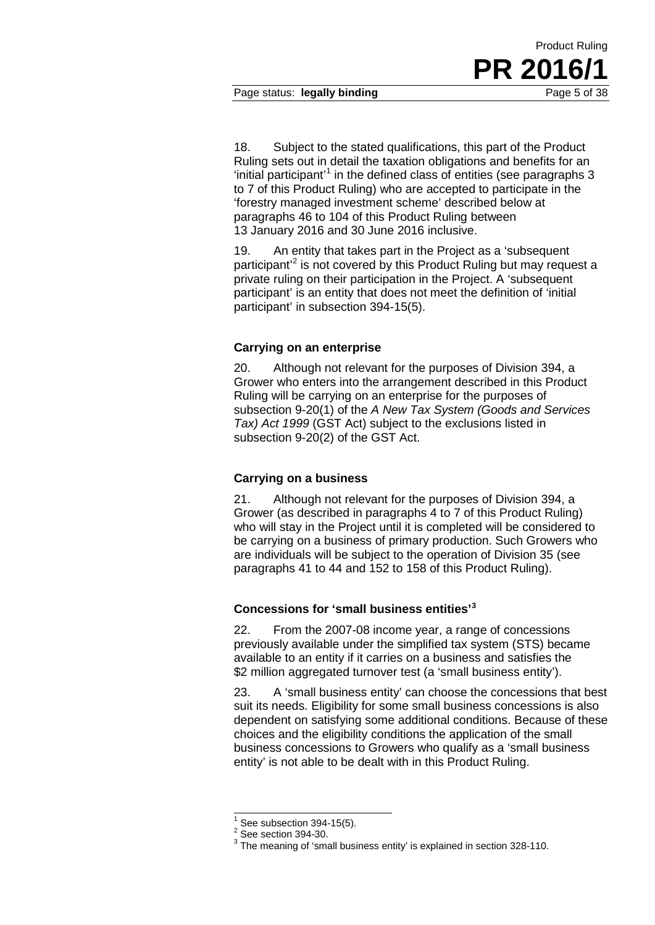Page status: **legally binding** Page 5 of 38

18. Subject to the stated qualifications, this part of the Product Ruling sets out in detail the taxation obligations and benefits for an 'initial participant'<sup>[1](#page-4-0)</sup> in the defined class of entities (see paragraphs 3 to 7 of this Product Ruling) who are accepted to participate in the 'forestry managed investment scheme' described below at paragraphs 46 to 104 of this Product Ruling between 13 January 2016 and 30 June 2016 inclusive.

19. An entity that takes part in the Project as a 'subsequent participant<sup>'[2](#page-4-1)</sup> is not covered by this Product Ruling but may request a private ruling on their participation in the Project. A 'subsequent participant' is an entity that does not meet the definition of 'initial participant' in subsection 394-15(5).

#### **Carrying on an enterprise**

20. Although not relevant for the purposes of Division 394, a Grower who enters into the arrangement described in this Product Ruling will be carrying on an enterprise for the purposes of subsection 9-20(1) of the *A New Tax System (Goods and Services Tax) Act 1999* (GST Act) subject to the exclusions listed in subsection 9-20(2) of the GST Act.

#### **Carrying on a business**

21. Although not relevant for the purposes of Division 394, a Grower (as described in paragraphs 4 to 7 of this Product Ruling) who will stay in the Project until it is completed will be considered to be carrying on a business of primary production. Such Growers who are individuals will be subject to the operation of Division 35 (see paragraphs 41 to 44 and 152 to 158 of this Product Ruling).

#### **Concessions for 'small business entities' [3](#page-4-2)**

22. From the 2007-08 income year, a range of concessions previously available under the simplified tax system (STS) became available to an entity if it carries on a business and satisfies the \$2 million aggregated turnover test (a 'small business entity').

23. A 'small business entity' can choose the concessions that best suit its needs. Eligibility for some small business concessions is also dependent on satisfying some additional conditions. Because of these choices and the eligibility conditions the application of the small business concessions to Growers who qualify as a 'small business entity' is not able to be dealt with in this Product Ruling.

 $\overline{\phantom{a}}$ 

<span id="page-4-2"></span><span id="page-4-1"></span><span id="page-4-0"></span><sup>&</sup>lt;sup>1</sup> See subsection 394-15(5).<br><sup>2</sup> See section 394-30.<br><sup>3</sup> The meaning of 'small business entity' is explained in section 328-110.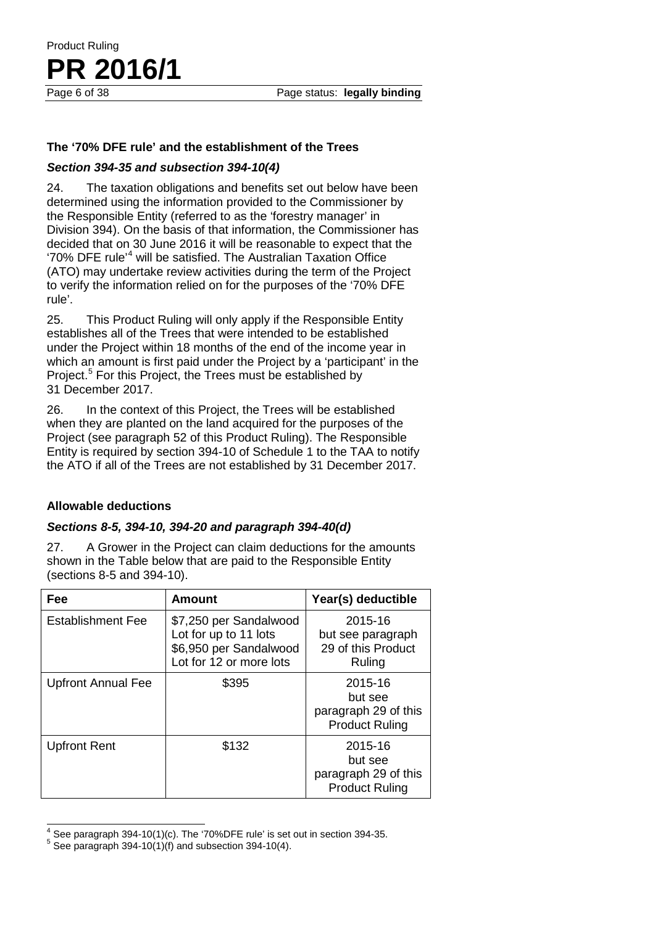#### **The '70% DFE rule' and the establishment of the Trees**

#### *Section 394-35 and subsection 394-10(4)*

Product Ruling

PR 2016/1

24. The taxation obligations and benefits set out below have been determined using the information provided to the Commissioner by the Responsible Entity (referred to as the 'forestry manager' in Division 394). On the basis of that information, the Commissioner has decided that on 30 June 2016 it will be reasonable to expect that the '70% DFE rule' [4](#page-5-0) will be satisfied. The Australian Taxation Office (ATO) may undertake review activities during the term of the Project to verify the information relied on for the purposes of the '70% DFE rule'.

25. This Product Ruling will only apply if the Responsible Entity establishes all of the Trees that were intended to be established under the Project within 18 months of the end of the income year in which an amount is first paid under the Project by a 'participant' in the Project.<sup>[5](#page-5-1)</sup> For this Project, the Trees must be established by 31 December 2017.

26. In the context of this Project, the Trees will be established when they are planted on the land acquired for the purposes of the Project (see paragraph 52 of this Product Ruling). The Responsible Entity is required by section 394-10 of Schedule 1 to the TAA to notify the ATO if all of the Trees are not established by 31 December 2017.

#### **Allowable deductions**

#### *Sections 8-5, 394-10, 394-20 and paragraph 394-40(d)*

27. A Grower in the Project can claim deductions for the amounts shown in the Table below that are paid to the Responsible Entity (sections 8-5 and 394-10).

| Fee                       | <b>Amount</b>                                                                                        | Year(s) deductible                                                  |
|---------------------------|------------------------------------------------------------------------------------------------------|---------------------------------------------------------------------|
| Establishment Fee         | \$7,250 per Sandalwood<br>Lot for up to 11 lots<br>\$6,950 per Sandalwood<br>Lot for 12 or more lots | 2015-16<br>but see paragraph<br>29 of this Product<br>Ruling        |
| <b>Upfront Annual Fee</b> | \$395                                                                                                | 2015-16<br>but see<br>paragraph 29 of this<br><b>Product Ruling</b> |
| <b>Upfront Rent</b>       | \$132                                                                                                | 2015-16<br>but see<br>paragraph 29 of this<br><b>Product Ruling</b> |

<span id="page-5-0"></span> $^4$  See paragraph 394-10(1)(c). The '70%DFE rule' is set out in section 394-35.<br><sup>5</sup> See paragraph 394-10(1)(f) and subsection 394-10(4).  $\overline{\phantom{a}}$ 

<span id="page-5-1"></span>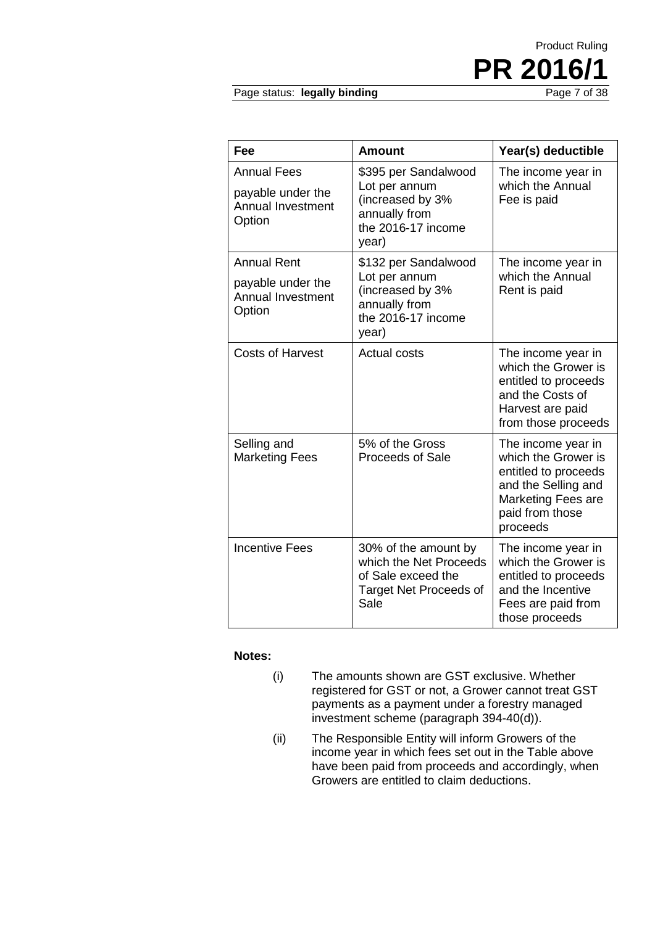# Product Ruling **PR 2016/1**

Page status: legally binding

| Fee                                                                    | <b>Amount</b>                                                                                             | Year(s) deductible                                                                                                                            |
|------------------------------------------------------------------------|-----------------------------------------------------------------------------------------------------------|-----------------------------------------------------------------------------------------------------------------------------------------------|
| <b>Annual Fees</b><br>payable under the<br>Annual Investment<br>Option | \$395 per Sandalwood<br>Lot per annum<br>(increased by 3%<br>annually from<br>the 2016-17 income<br>year) | The income year in<br>which the Annual<br>Fee is paid                                                                                         |
| <b>Annual Rent</b>                                                     | \$132 per Sandalwood<br>Lot per annum                                                                     | The income year in<br>which the Annual                                                                                                        |
| payable under the<br>Annual Investment<br>Option                       | (increased by 3%<br>annually from<br>the 2016-17 income<br>year)                                          | Rent is paid                                                                                                                                  |
| <b>Costs of Harvest</b>                                                | <b>Actual costs</b>                                                                                       | The income year in<br>which the Grower is<br>entitled to proceeds<br>and the Costs of<br>Harvest are paid<br>from those proceeds              |
| Selling and<br><b>Marketing Fees</b>                                   | 5% of the Gross<br><b>Proceeds of Sale</b>                                                                | The income year in<br>which the Grower is<br>entitled to proceeds<br>and the Selling and<br>Marketing Fees are<br>paid from those<br>proceeds |
| <b>Incentive Fees</b>                                                  | 30% of the amount by<br>which the Net Proceeds<br>of Sale exceed the<br>Target Net Proceeds of<br>Sale    | The income year in<br>which the Grower is<br>entitled to proceeds<br>and the Incentive<br>Fees are paid from<br>those proceeds                |

#### **Notes:**

- (i) The amounts shown are GST exclusive. Whether registered for GST or not, a Grower cannot treat GST payments as a payment under a forestry managed investment scheme (paragraph 394-40(d)).
- (ii) The Responsible Entity will inform Growers of the income year in which fees set out in the Table above have been paid from proceeds and accordingly, when Growers are entitled to claim deductions.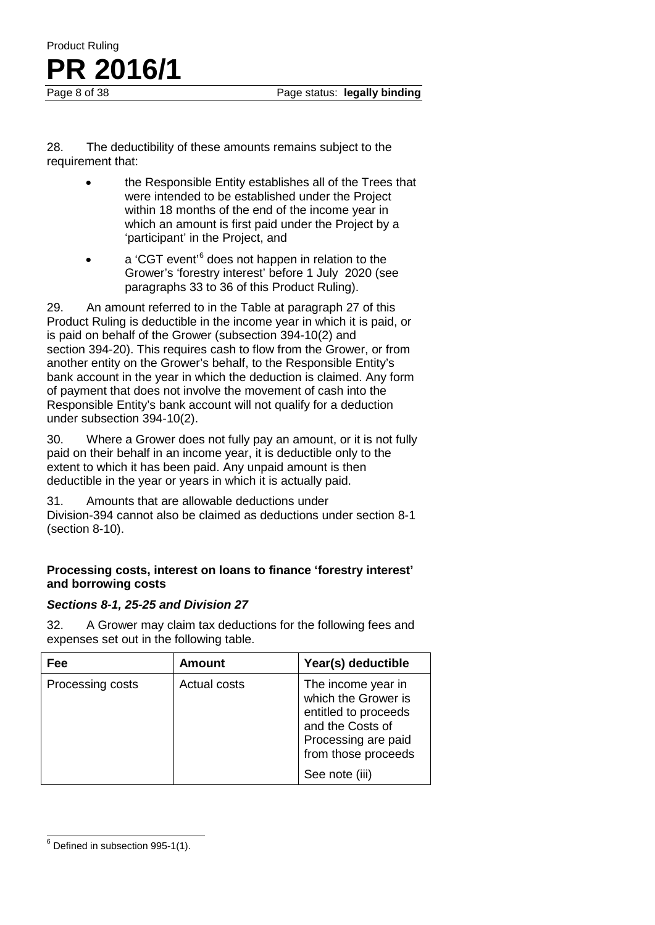28. The deductibility of these amounts remains subject to the requirement that:

- the Responsible Entity establishes all of the Trees that were intended to be established under the Project within 18 months of the end of the income year in which an amount is first paid under the Project by a 'participant' in the Project, and
- a 'CGT event'<sup>[6](#page-7-0)</sup> does not happen in relation to the Grower's 'forestry interest' before 1 July 2020 (see paragraphs 33 to 36 of this Product Ruling).

29. An amount referred to in the Table at paragraph 27 of this Product Ruling is deductible in the income year in which it is paid, or is paid on behalf of the Grower (subsection 394-10(2) and section 394-20). This requires cash to flow from the Grower, or from another entity on the Grower's behalf, to the Responsible Entity's bank account in the year in which the deduction is claimed. Any form of payment that does not involve the movement of cash into the Responsible Entity's bank account will not qualify for a deduction under subsection 394-10(2).

30. Where a Grower does not fully pay an amount, or it is not fully paid on their behalf in an income year, it is deductible only to the extent to which it has been paid. Any unpaid amount is then deductible in the year or years in which it is actually paid.

31. Amounts that are allowable deductions under Division-394 cannot also be claimed as deductions under section 8-1 (section 8-10).

#### **Processing costs, interest on loans to finance 'forestry interest' and borrowing costs**

#### *Sections 8-1, 25-25 and Division 27*

32. A Grower may claim tax deductions for the following fees and expenses set out in the following table.

| Fee              | <b>Amount</b> | Year(s) deductible                                                                                                                                    |
|------------------|---------------|-------------------------------------------------------------------------------------------------------------------------------------------------------|
| Processing costs | Actual costs  | The income year in<br>which the Grower is<br>entitled to proceeds<br>and the Costs of<br>Processing are paid<br>from those proceeds<br>See note (iii) |

<span id="page-7-0"></span> $6$  Defined in subsection 995-1(1).  $\overline{a}$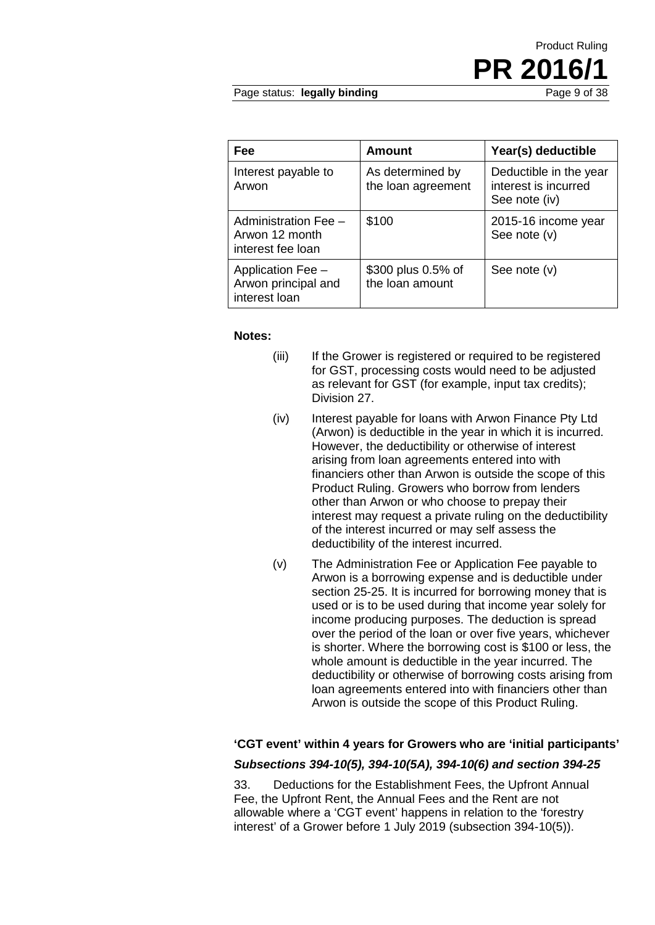# Product Ruling **PR 2016/1**

Page status: legally binding

| Fee                                                         | <b>Amount</b>                          | Year(s) deductible                                              |
|-------------------------------------------------------------|----------------------------------------|-----------------------------------------------------------------|
| Interest payable to<br>Arwon                                | As determined by<br>the loan agreement | Deductible in the year<br>interest is incurred<br>See note (iv) |
| Administration Fee -<br>Arwon 12 month<br>interest fee loan | \$100                                  | 2015-16 income year<br>See note (v)                             |
| Application Fee -<br>Arwon principal and<br>interest loan   | \$300 plus 0.5% of<br>the loan amount  | See note $(v)$                                                  |

#### **Notes:**

- (iii) If the Grower is registered or required to be registered for GST, processing costs would need to be adjusted as relevant for GST (for example, input tax credits); Division 27.
- (iv) Interest payable for loans with Arwon Finance Pty Ltd (Arwon) is deductible in the year in which it is incurred. However, the deductibility or otherwise of interest arising from loan agreements entered into with financiers other than Arwon is outside the scope of this Product Ruling. Growers who borrow from lenders other than Arwon or who choose to prepay their interest may request a private ruling on the deductibility of the interest incurred or may self assess the deductibility of the interest incurred.
- (v) The Administration Fee or Application Fee payable to Arwon is a borrowing expense and is deductible under section 25-25. It is incurred for borrowing money that is used or is to be used during that income year solely for income producing purposes. The deduction is spread over the period of the loan or over five years, whichever is shorter. Where the borrowing cost is \$100 or less, the whole amount is deductible in the year incurred. The deductibility or otherwise of borrowing costs arising from loan agreements entered into with financiers other than Arwon is outside the scope of this Product Ruling.

#### **'CGT event' within 4 years for Growers who are 'initial participants'**

#### *Subsections 394-10(5), 394-10(5A), 394-10(6) and section 394-25*

33. Deductions for the Establishment Fees, the Upfront Annual Fee, the Upfront Rent, the Annual Fees and the Rent are not allowable where a 'CGT event' happens in relation to the 'forestry interest' of a Grower before 1 July 2019 (subsection 394-10(5)).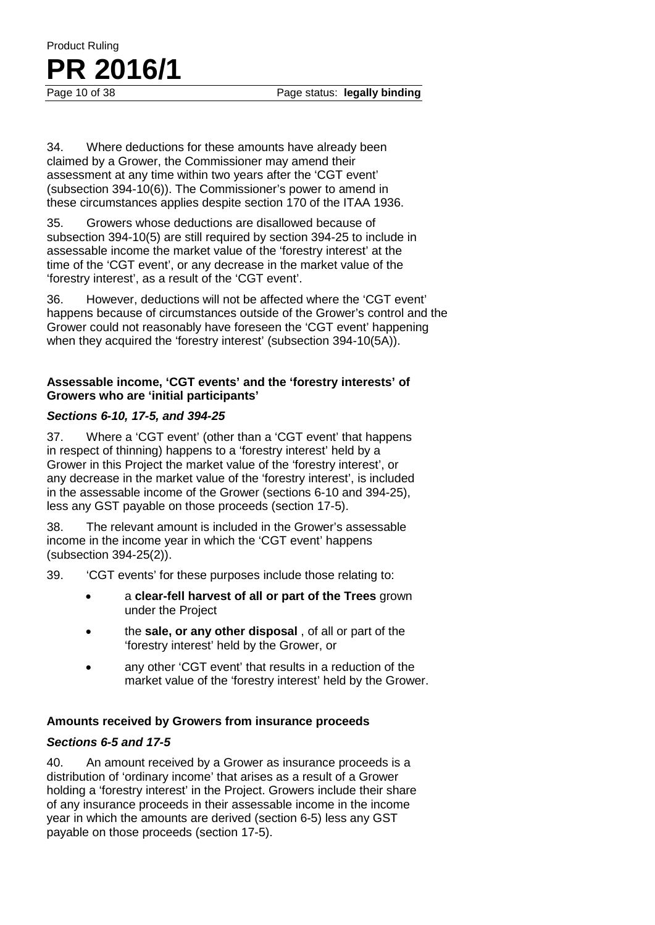34. Where deductions for these amounts have already been claimed by a Grower, the Commissioner may amend their assessment at any time within two years after the 'CGT event' (subsection 394-10(6)). The Commissioner's power to amend in these circumstances applies despite section 170 of the ITAA 1936.

35. Growers whose deductions are disallowed because of subsection 394-10(5) are still required by section 394-25 to include in assessable income the market value of the 'forestry interest' at the time of the 'CGT event', or any decrease in the market value of the 'forestry interest', as a result of the 'CGT event'.

36. However, deductions will not be affected where the 'CGT event' happens because of circumstances outside of the Grower's control and the Grower could not reasonably have foreseen the 'CGT event' happening when they acquired the 'forestry interest' (subsection 394-10(5A)).

#### **Assessable income, 'CGT events' and the 'forestry interests' of Growers who are 'initial participants'**

#### *Sections 6-10, 17-5, and 394-25*

37. Where a 'CGT event' (other than a 'CGT event' that happens in respect of thinning) happens to a 'forestry interest' held by a Grower in this Project the market value of the 'forestry interest', or any decrease in the market value of the 'forestry interest', is included in the assessable income of the Grower (sections 6-10 and 394-25), less any GST payable on those proceeds (section 17-5).

38. The relevant amount is included in the Grower's assessable income in the income year in which the 'CGT event' happens (subsection 394-25(2)).

39. 'CGT events' for these purposes include those relating to:

- a **clear-fell harvest of all or part of the Trees** grown under the Project
- the **sale, or any other disposal** , of all or part of the 'forestry interest' held by the Grower, or
- any other 'CGT event' that results in a reduction of the market value of the 'forestry interest' held by the Grower.

#### **Amounts received by Growers from insurance proceeds**

#### *Sections 6-5 and 17-5*

40. An amount received by a Grower as insurance proceeds is a distribution of 'ordinary income' that arises as a result of a Grower holding a 'forestry interest' in the Project. Growers include their share of any insurance proceeds in their assessable income in the income year in which the amounts are derived (section 6-5) less any GST payable on those proceeds (section 17-5).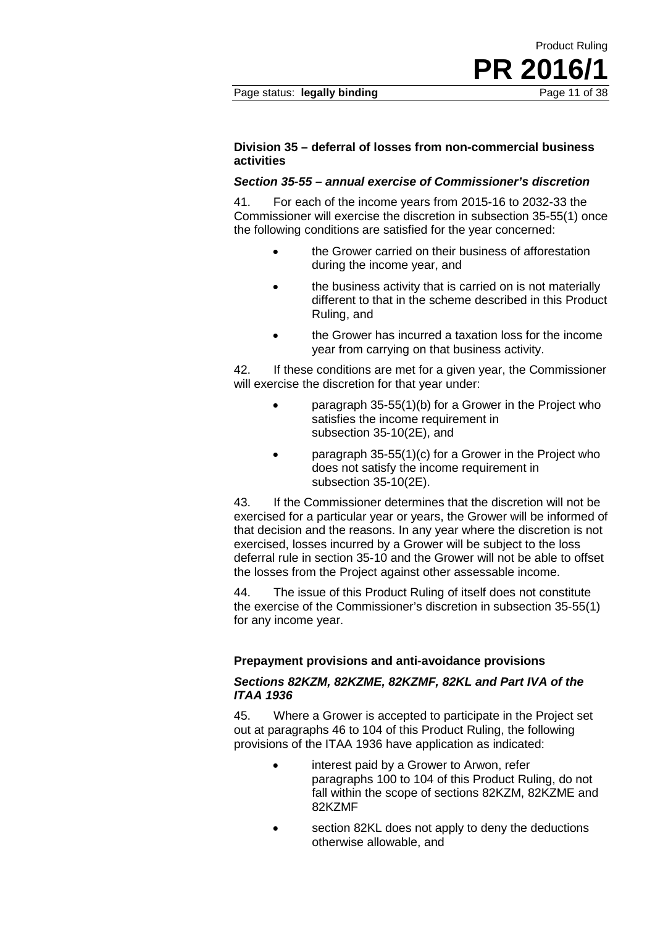Product Ruling

**PR 2016/1**

#### *Section 35-55 – annual exercise of Commissioner's discretion*

41. For each of the income years from 2015-16 to 2032-33 the Commissioner will exercise the discretion in subsection 35-55(1) once the following conditions are satisfied for the year concerned:

- the Grower carried on their business of afforestation during the income year, and
- the business activity that is carried on is not materially different to that in the scheme described in this Product Ruling, and
- the Grower has incurred a taxation loss for the income year from carrying on that business activity.

42. If these conditions are met for a given year, the Commissioner will exercise the discretion for that year under:

- paragraph 35-55(1)(b) for a Grower in the Project who satisfies the income requirement in subsection 35-10(2E), and
- paragraph 35-55(1)(c) for a Grower in the Project who does not satisfy the income requirement in subsection 35-10(2E).

43. If the Commissioner determines that the discretion will not be exercised for a particular year or years, the Grower will be informed of that decision and the reasons. In any year where the discretion is not exercised, losses incurred by a Grower will be subject to the loss deferral rule in section 35-10 and the Grower will not be able to offset the losses from the Project against other assessable income.

44. The issue of this Product Ruling of itself does not constitute the exercise of the Commissioner's discretion in subsection 35-55(1) for any income year.

#### **Prepayment provisions and anti-avoidance provisions**

#### *Sections 82KZM, 82KZME, 82KZMF, 82KL and Part IVA of the ITAA 1936*

45. Where a Grower is accepted to participate in the Project set out at paragraphs 46 to 104 of this Product Ruling, the following provisions of the ITAA 1936 have application as indicated:

- interest paid by a Grower to Arwon, refer paragraphs 100 to 104 of this Product Ruling, do not fall within the scope of sections 82KZM, 82KZME and 82KZMF
- section 82KL does not apply to deny the deductions otherwise allowable, and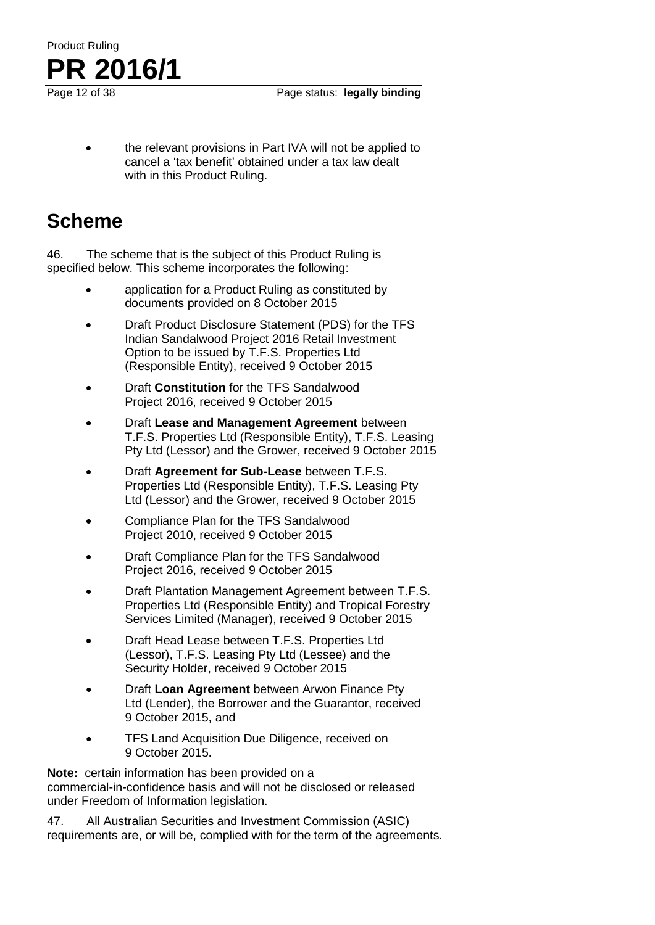

Page status: legally binding

• the relevant provisions in Part IVA will not be applied to cancel a 'tax benefit' obtained under a tax law dealt with in this Product Ruling.

### **Scheme**

46. The scheme that is the subject of this Product Ruling is specified below. This scheme incorporates the following:

- application for a Product Ruling as constituted by documents provided on 8 October 2015
- Draft Product Disclosure Statement (PDS) for the TFS Indian Sandalwood Project 2016 Retail Investment Option to be issued by T.F.S. Properties Ltd (Responsible Entity), received 9 October 2015
- Draft **Constitution** for the TFS Sandalwood Project 2016, received 9 October 2015
- Draft **Lease and Management Agreement** between T.F.S. Properties Ltd (Responsible Entity), T.F.S. Leasing Pty Ltd (Lessor) and the Grower, received 9 October 2015
- Draft **Agreement for Sub-Lease** between T.F.S. Properties Ltd (Responsible Entity), T.F.S. Leasing Pty Ltd (Lessor) and the Grower, received 9 October 2015
- Compliance Plan for the TFS Sandalwood Project 2010, received 9 October 2015
- Draft Compliance Plan for the TFS Sandalwood Project 2016, received 9 October 2015
- Draft Plantation Management Agreement between T.F.S. Properties Ltd (Responsible Entity) and Tropical Forestry Services Limited (Manager), received 9 October 2015
- Draft Head Lease between T.F.S. Properties Ltd (Lessor), T.F.S. Leasing Pty Ltd (Lessee) and the Security Holder, received 9 October 2015
- Draft **Loan Agreement** between Arwon Finance Pty Ltd (Lender), the Borrower and the Guarantor, received 9 October 2015, and
- TFS Land Acquisition Due Diligence, received on 9 October 2015.

**Note:** certain information has been provided on a commercial-in-confidence basis and will not be disclosed or released under Freedom of Information legislation.

47. All Australian Securities and Investment Commission (ASIC) requirements are, or will be, complied with for the term of the agreements.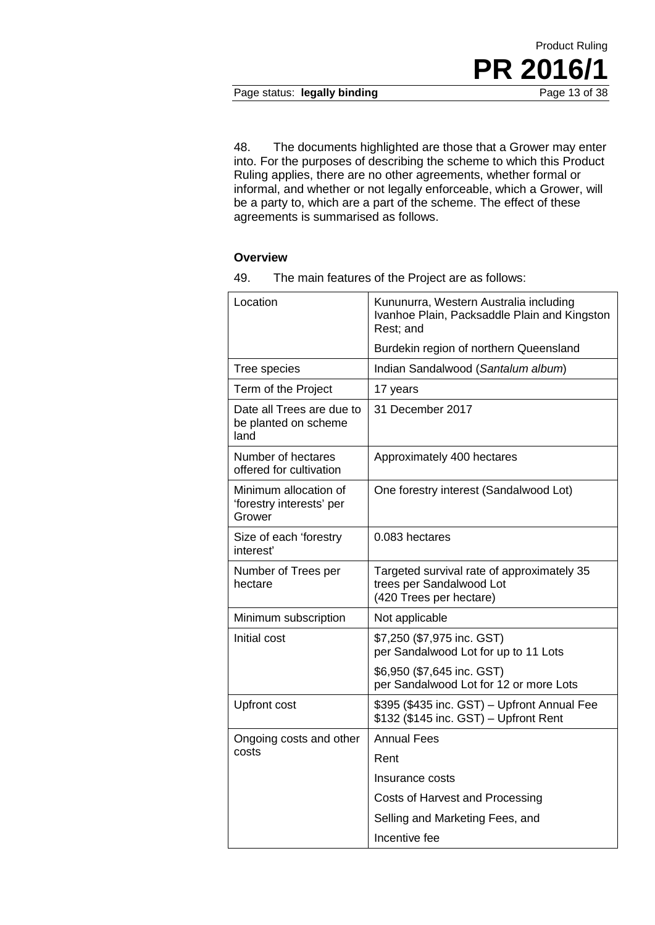#### Page status: legally binding

48. The documents highlighted are those that a Grower may enter into. For the purposes of describing the scheme to which this Product Ruling applies, there are no other agreements, whether formal or informal, and whether or not legally enforceable, which a Grower, will be a party to, which are a part of the scheme. The effect of these agreements is summarised as follows.

#### **Overview**

| Location                                                    | Kununurra, Western Australia including<br>Ivanhoe Plain, Packsaddle Plain and Kingston<br>Rest; and |
|-------------------------------------------------------------|-----------------------------------------------------------------------------------------------------|
|                                                             | Burdekin region of northern Queensland                                                              |
| Tree species                                                | Indian Sandalwood (Santalum album)                                                                  |
| Term of the Project                                         | 17 years                                                                                            |
| Date all Trees are due to<br>be planted on scheme<br>land   | 31 December 2017                                                                                    |
| Number of hectares<br>offered for cultivation               | Approximately 400 hectares                                                                          |
| Minimum allocation of<br>'forestry interests' per<br>Grower | One forestry interest (Sandalwood Lot)                                                              |
| Size of each 'forestry<br>interest'                         | 0.083 hectares                                                                                      |
| Number of Trees per<br>hectare                              | Targeted survival rate of approximately 35<br>trees per Sandalwood Lot<br>(420 Trees per hectare)   |
| Minimum subscription                                        | Not applicable                                                                                      |
| Initial cost                                                | \$7,250 (\$7,975 inc. GST)<br>per Sandalwood Lot for up to 11 Lots                                  |
|                                                             | \$6,950 (\$7,645 inc. GST)<br>per Sandalwood Lot for 12 or more Lots                                |
| <b>Upfront cost</b>                                         | \$395 (\$435 inc. GST) - Upfront Annual Fee<br>\$132 (\$145 inc. GST) - Upfront Rent                |
| Ongoing costs and other                                     | <b>Annual Fees</b>                                                                                  |
| costs                                                       | Rent                                                                                                |
|                                                             | Insurance costs                                                                                     |
|                                                             | Costs of Harvest and Processing                                                                     |
|                                                             | Selling and Marketing Fees, and                                                                     |
|                                                             | Incentive fee                                                                                       |

49. The main features of the Project are as follows: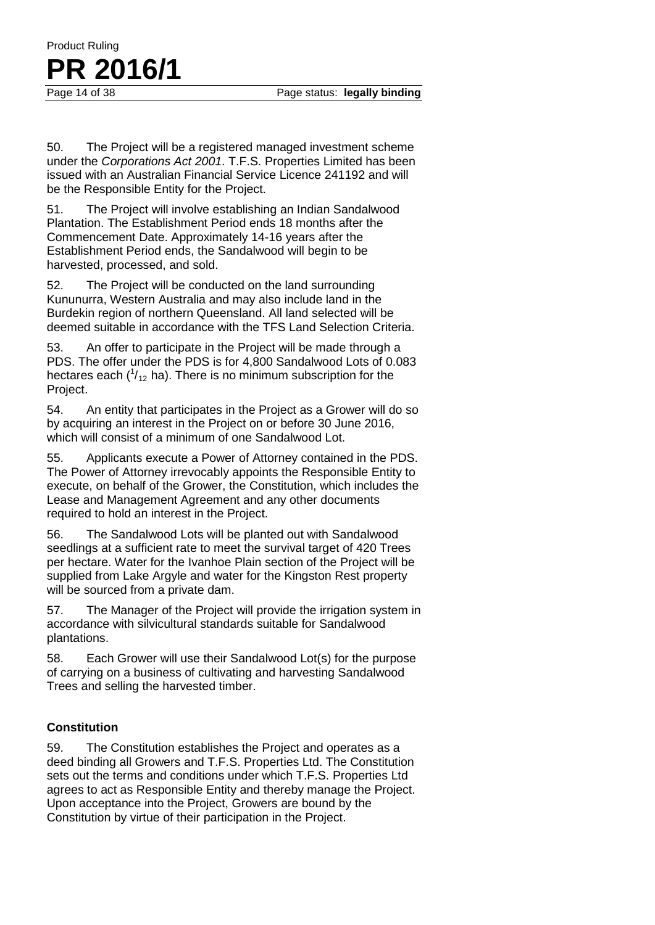50. The Project will be a registered managed investment scheme under the *Corporations Act 2001*. T.F.S. Properties Limited has been issued with an Australian Financial Service Licence 241192 and will be the Responsible Entity for the Project.

51. The Project will involve establishing an Indian Sandalwood Plantation. The Establishment Period ends 18 months after the Commencement Date. Approximately 14-16 years after the Establishment Period ends, the Sandalwood will begin to be harvested, processed, and sold.

52. The Project will be conducted on the land surrounding Kununurra, Western Australia and may also include land in the Burdekin region of northern Queensland. All land selected will be deemed suitable in accordance with the TFS Land Selection Criteria.

53. An offer to participate in the Project will be made through a PDS. The offer under the PDS is for 4,800 Sandalwood Lots of 0.083 hectares each  $(^{1}_{12}$  ha). There is no minimum subscription for the Project.

54. An entity that participates in the Project as a Grower will do so by acquiring an interest in the Project on or before 30 June 2016, which will consist of a minimum of one Sandalwood Lot.

55. Applicants execute a Power of Attorney contained in the PDS. The Power of Attorney irrevocably appoints the Responsible Entity to execute, on behalf of the Grower, the Constitution, which includes the Lease and Management Agreement and any other documents required to hold an interest in the Project.

56. The Sandalwood Lots will be planted out with Sandalwood seedlings at a sufficient rate to meet the survival target of 420 Trees per hectare. Water for the Ivanhoe Plain section of the Project will be supplied from Lake Argyle and water for the Kingston Rest property will be sourced from a private dam.

57. The Manager of the Project will provide the irrigation system in accordance with silvicultural standards suitable for Sandalwood plantations.

58. Each Grower will use their Sandalwood Lot(s) for the purpose of carrying on a business of cultivating and harvesting Sandalwood Trees and selling the harvested timber.

#### **Constitution**

Product Ruling

**PR 2016/1**

59. The Constitution establishes the Project and operates as a deed binding all Growers and T.F.S. Properties Ltd. The Constitution sets out the terms and conditions under which T.F.S. Properties Ltd agrees to act as Responsible Entity and thereby manage the Project. Upon acceptance into the Project, Growers are bound by the Constitution by virtue of their participation in the Project.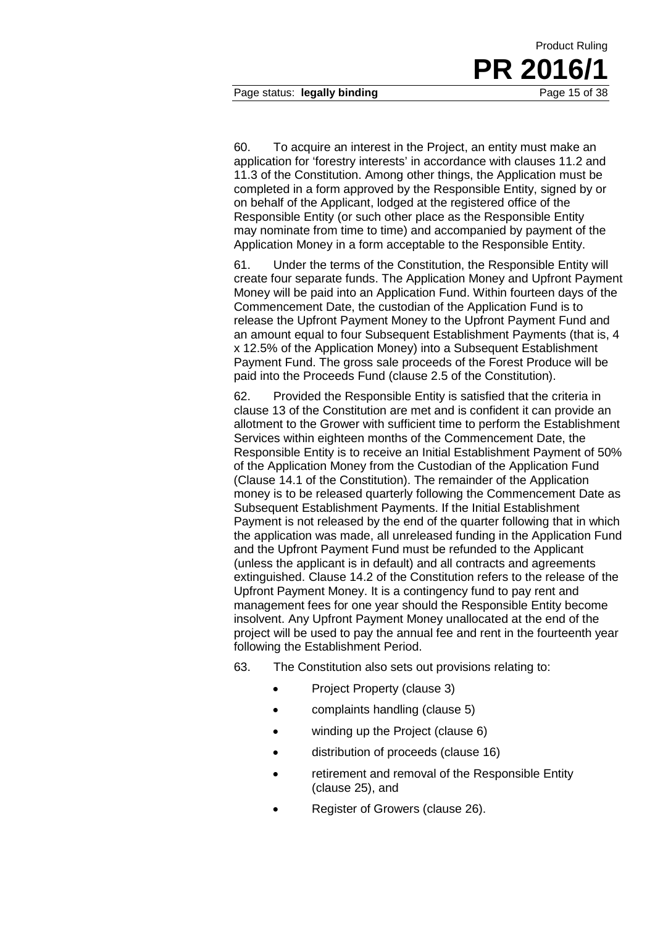60. To acquire an interest in the Project, an entity must make an application for 'forestry interests' in accordance with clauses 11.2 and 11.3 of the Constitution. Among other things, the Application must be completed in a form approved by the Responsible Entity, signed by or on behalf of the Applicant, lodged at the registered office of the Responsible Entity (or such other place as the Responsible Entity may nominate from time to time) and accompanied by payment of the Application Money in a form acceptable to the Responsible Entity.

61. Under the terms of the Constitution, the Responsible Entity will create four separate funds. The Application Money and Upfront Payment Money will be paid into an Application Fund. Within fourteen days of the Commencement Date, the custodian of the Application Fund is to release the Upfront Payment Money to the Upfront Payment Fund and an amount equal to four Subsequent Establishment Payments (that is, 4 x 12.5% of the Application Money) into a Subsequent Establishment Payment Fund. The gross sale proceeds of the Forest Produce will be paid into the Proceeds Fund (clause 2.5 of the Constitution).

62. Provided the Responsible Entity is satisfied that the criteria in clause 13 of the Constitution are met and is confident it can provide an allotment to the Grower with sufficient time to perform the Establishment Services within eighteen months of the Commencement Date, the Responsible Entity is to receive an Initial Establishment Payment of 50% of the Application Money from the Custodian of the Application Fund (Clause 14.1 of the Constitution). The remainder of the Application money is to be released quarterly following the Commencement Date as Subsequent Establishment Payments. If the Initial Establishment Payment is not released by the end of the quarter following that in which the application was made, all unreleased funding in the Application Fund and the Upfront Payment Fund must be refunded to the Applicant (unless the applicant is in default) and all contracts and agreements extinguished. Clause 14.2 of the Constitution refers to the release of the Upfront Payment Money. It is a contingency fund to pay rent and management fees for one year should the Responsible Entity become insolvent. Any Upfront Payment Money unallocated at the end of the project will be used to pay the annual fee and rent in the fourteenth year following the Establishment Period.

63. The Constitution also sets out provisions relating to:

- Project Property (clause 3)
- complaints handling (clause 5)
- winding up the Project (clause 6)
- distribution of proceeds (clause 16)
- retirement and removal of the Responsible Entity (clause 25), and
- Register of Growers (clause 26).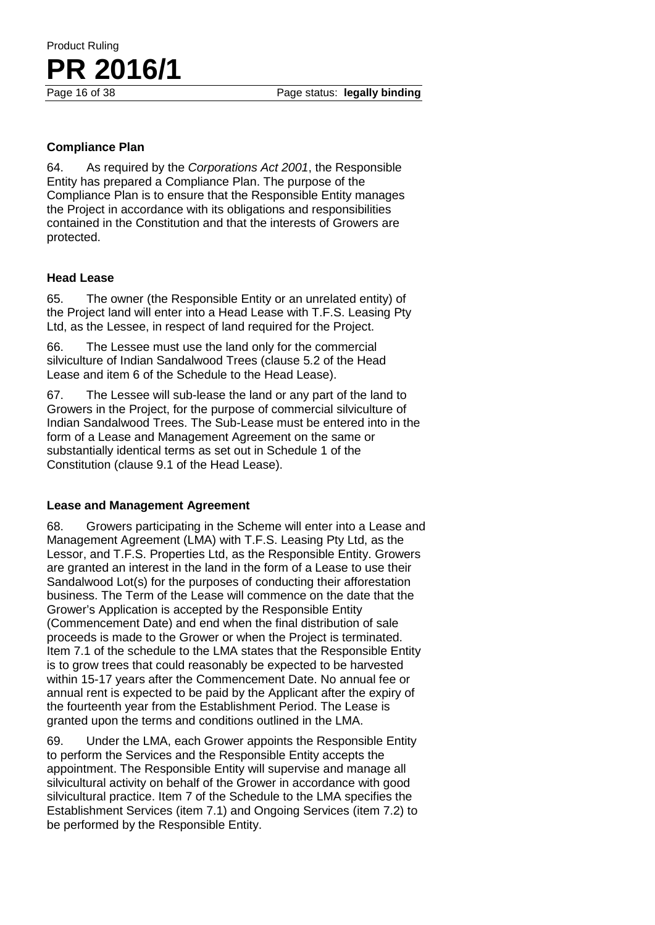Page status: **legally binding** 

# **PR** 2016/1

Product Ruling

#### **Compliance Plan**

64. As required by the *Corporations Act 2001*, the Responsible Entity has prepared a Compliance Plan. The purpose of the Compliance Plan is to ensure that the Responsible Entity manages the Project in accordance with its obligations and responsibilities contained in the Constitution and that the interests of Growers are protected.

#### **Head Lease**

65. The owner (the Responsible Entity or an unrelated entity) of the Project land will enter into a Head Lease with T.F.S. Leasing Pty Ltd, as the Lessee, in respect of land required for the Project.

66. The Lessee must use the land only for the commercial silviculture of Indian Sandalwood Trees (clause 5.2 of the Head Lease and item 6 of the Schedule to the Head Lease).

67. The Lessee will sub-lease the land or any part of the land to Growers in the Project, for the purpose of commercial silviculture of Indian Sandalwood Trees. The Sub-Lease must be entered into in the form of a Lease and Management Agreement on the same or substantially identical terms as set out in Schedule 1 of the Constitution (clause 9.1 of the Head Lease).

#### **Lease and Management Agreement**

68. Growers participating in the Scheme will enter into a Lease and Management Agreement (LMA) with T.F.S. Leasing Pty Ltd, as the Lessor, and T.F.S. Properties Ltd, as the Responsible Entity. Growers are granted an interest in the land in the form of a Lease to use their Sandalwood Lot(s) for the purposes of conducting their afforestation business. The Term of the Lease will commence on the date that the Grower's Application is accepted by the Responsible Entity (Commencement Date) and end when the final distribution of sale proceeds is made to the Grower or when the Project is terminated. Item 7.1 of the schedule to the LMA states that the Responsible Entity is to grow trees that could reasonably be expected to be harvested within 15-17 years after the Commencement Date. No annual fee or annual rent is expected to be paid by the Applicant after the expiry of the fourteenth year from the Establishment Period. The Lease is granted upon the terms and conditions outlined in the LMA.

69. Under the LMA, each Grower appoints the Responsible Entity to perform the Services and the Responsible Entity accepts the appointment. The Responsible Entity will supervise and manage all silvicultural activity on behalf of the Grower in accordance with good silvicultural practice. Item 7 of the Schedule to the LMA specifies the Establishment Services (item 7.1) and Ongoing Services (item 7.2) to be performed by the Responsible Entity.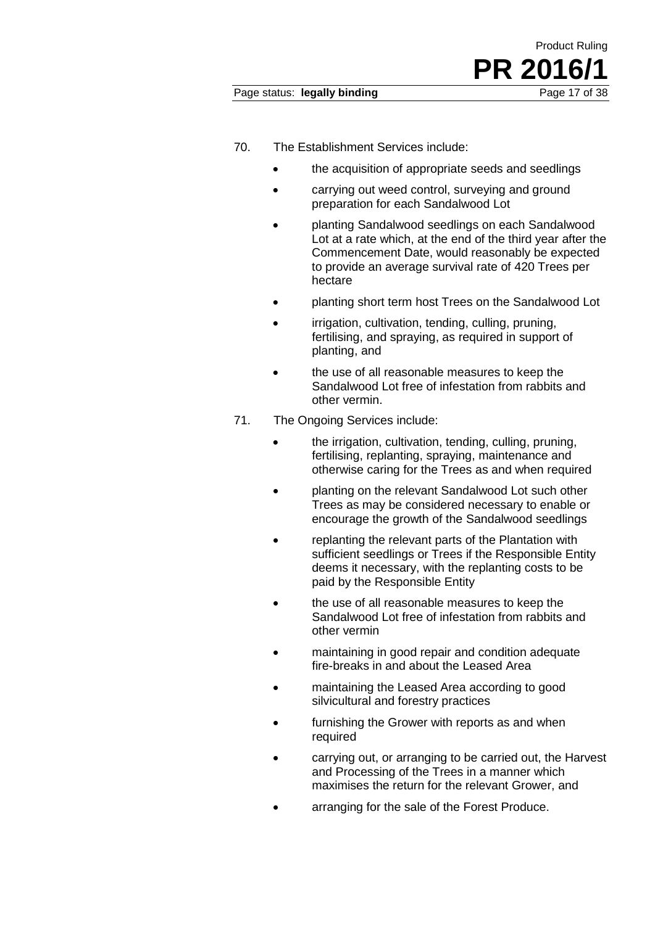- 70. The Establishment Services include:
	- the acquisition of appropriate seeds and seedlings
	- carrying out weed control, surveying and ground preparation for each Sandalwood Lot
	- planting Sandalwood seedlings on each Sandalwood Lot at a rate which, at the end of the third year after the Commencement Date, would reasonably be expected to provide an average survival rate of 420 Trees per hectare
	- planting short term host Trees on the Sandalwood Lot
	- irrigation, cultivation, tending, culling, pruning, fertilising, and spraying, as required in support of planting, and
	- the use of all reasonable measures to keep the Sandalwood Lot free of infestation from rabbits and other vermin.
- 71. The Ongoing Services include:
	- the irrigation, cultivation, tending, culling, pruning, fertilising, replanting, spraying, maintenance and otherwise caring for the Trees as and when required
	- planting on the relevant Sandalwood Lot such other Trees as may be considered necessary to enable or encourage the growth of the Sandalwood seedlings
	- replanting the relevant parts of the Plantation with sufficient seedlings or Trees if the Responsible Entity deems it necessary, with the replanting costs to be paid by the Responsible Entity
	- the use of all reasonable measures to keep the Sandalwood Lot free of infestation from rabbits and other vermin
	- maintaining in good repair and condition adequate fire-breaks in and about the Leased Area
	- maintaining the Leased Area according to good silvicultural and forestry practices
	- furnishing the Grower with reports as and when required
	- carrying out, or arranging to be carried out, the Harvest and Processing of the Trees in a manner which maximises the return for the relevant Grower, and
	- arranging for the sale of the Forest Produce.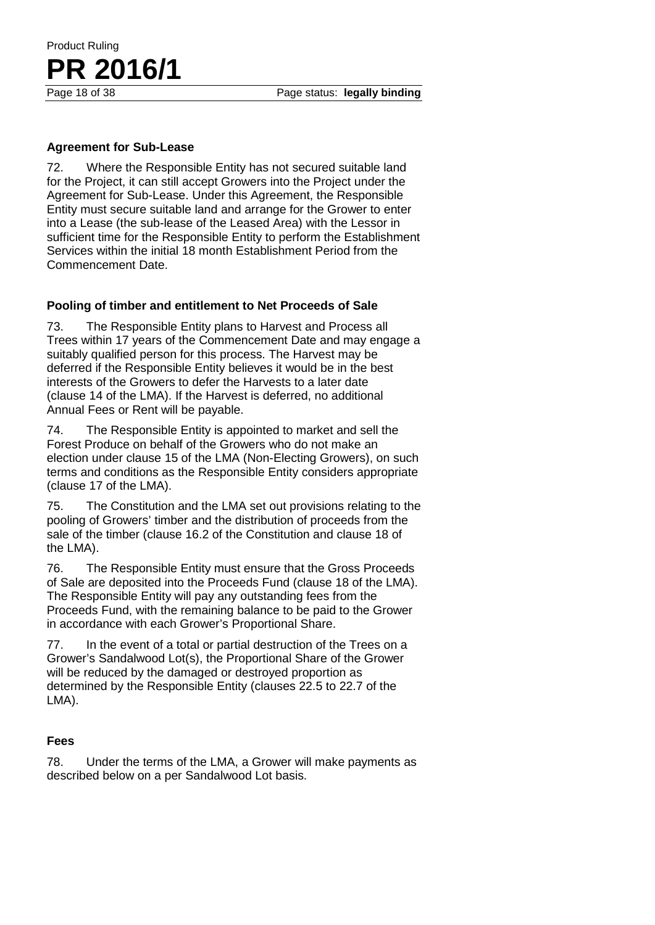#### **Agreement for Sub-Lease**

72. Where the Responsible Entity has not secured suitable land for the Project, it can still accept Growers into the Project under the Agreement for Sub-Lease. Under this Agreement, the Responsible Entity must secure suitable land and arrange for the Grower to enter into a Lease (the sub-lease of the Leased Area) with the Lessor in sufficient time for the Responsible Entity to perform the Establishment Services within the initial 18 month Establishment Period from the Commencement Date.

#### **Pooling of timber and entitlement to Net Proceeds of Sale**

73. The Responsible Entity plans to Harvest and Process all Trees within 17 years of the Commencement Date and may engage a suitably qualified person for this process. The Harvest may be deferred if the Responsible Entity believes it would be in the best interests of the Growers to defer the Harvests to a later date (clause 14 of the LMA). If the Harvest is deferred, no additional Annual Fees or Rent will be payable.

74. The Responsible Entity is appointed to market and sell the Forest Produce on behalf of the Growers who do not make an election under clause 15 of the LMA (Non-Electing Growers), on such terms and conditions as the Responsible Entity considers appropriate (clause 17 of the LMA).

75. The Constitution and the LMA set out provisions relating to the pooling of Growers' timber and the distribution of proceeds from the sale of the timber (clause 16.2 of the Constitution and clause 18 of the LMA).

76. The Responsible Entity must ensure that the Gross Proceeds of Sale are deposited into the Proceeds Fund (clause 18 of the LMA). The Responsible Entity will pay any outstanding fees from the Proceeds Fund, with the remaining balance to be paid to the Grower in accordance with each Grower's Proportional Share.

77. In the event of a total or partial destruction of the Trees on a Grower's Sandalwood Lot(s), the Proportional Share of the Grower will be reduced by the damaged or destroyed proportion as determined by the Responsible Entity (clauses 22.5 to 22.7 of the LMA).

#### **Fees**

78. Under the terms of the LMA, a Grower will make payments as described below on a per Sandalwood Lot basis.

# Product Ruling **PR 2016/1**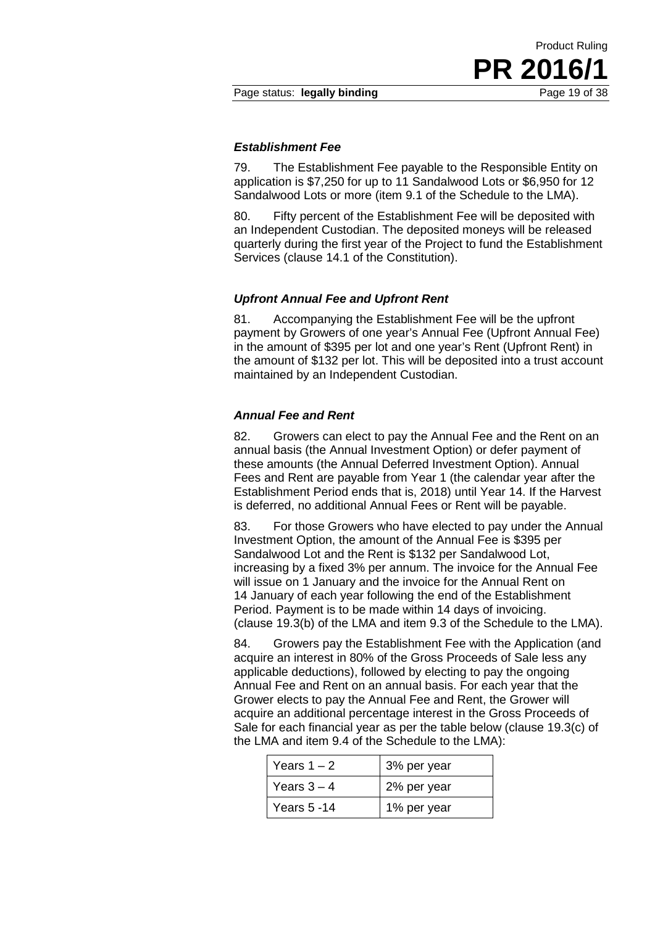#### *Establishment Fee*

79. The Establishment Fee payable to the Responsible Entity on application is \$7,250 for up to 11 Sandalwood Lots or \$6,950 for 12 Sandalwood Lots or more (item 9.1 of the Schedule to the LMA).

80. Fifty percent of the Establishment Fee will be deposited with an Independent Custodian. The deposited moneys will be released quarterly during the first year of the Project to fund the Establishment Services (clause 14.1 of the Constitution).

#### *Upfront Annual Fee and Upfront Rent*

81. Accompanying the Establishment Fee will be the upfront payment by Growers of one year's Annual Fee (Upfront Annual Fee) in the amount of \$395 per lot and one year's Rent (Upfront Rent) in the amount of \$132 per lot. This will be deposited into a trust account maintained by an Independent Custodian.

#### *Annual Fee and Rent*

82. Growers can elect to pay the Annual Fee and the Rent on an annual basis (the Annual Investment Option) or defer payment of these amounts (the Annual Deferred Investment Option). Annual Fees and Rent are payable from Year 1 (the calendar year after the Establishment Period ends that is, 2018) until Year 14. If the Harvest is deferred, no additional Annual Fees or Rent will be payable.

83. For those Growers who have elected to pay under the Annual Investment Option, the amount of the Annual Fee is \$395 per Sandalwood Lot and the Rent is \$132 per Sandalwood Lot, increasing by a fixed 3% per annum. The invoice for the Annual Fee will issue on 1 January and the invoice for the Annual Rent on 14 January of each year following the end of the Establishment Period. Payment is to be made within 14 days of invoicing. (clause 19.3(b) of the LMA and item 9.3 of the Schedule to the LMA).

84. Growers pay the Establishment Fee with the Application (and acquire an interest in 80% of the Gross Proceeds of Sale less any applicable deductions), followed by electing to pay the ongoing Annual Fee and Rent on an annual basis. For each year that the Grower elects to pay the Annual Fee and Rent, the Grower will acquire an additional percentage interest in the Gross Proceeds of Sale for each financial year as per the table below (clause 19.3(c) of the LMA and item 9.4 of the Schedule to the LMA):

| Years $1 - 2$ | 3% per year |
|---------------|-------------|
| Years $3 - 4$ | 2% per year |
| Years 5 -14   | 1% per year |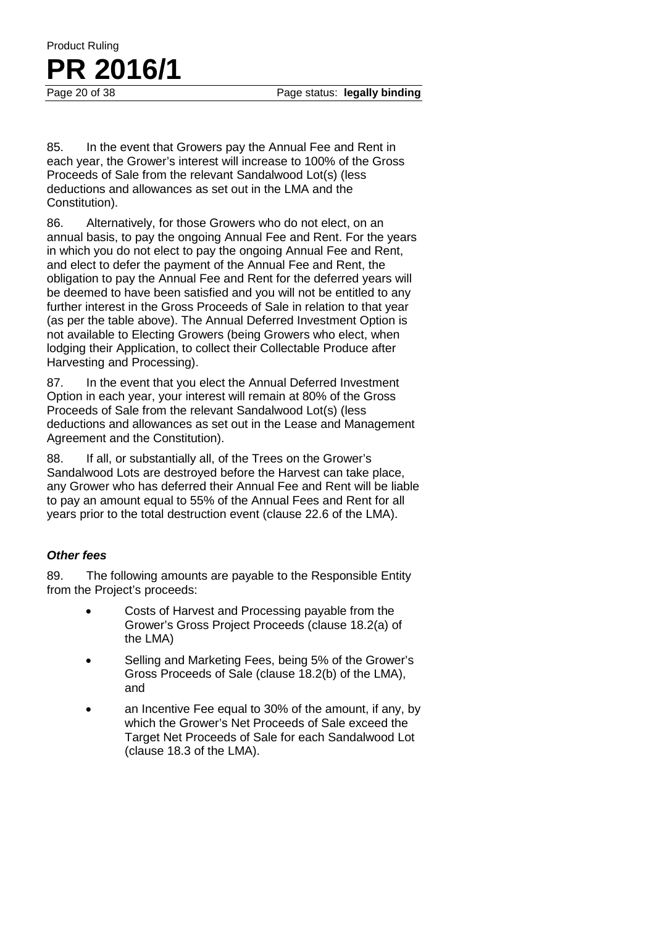Page status: **legally binding** 

Product Ruling **PR** 2016/1

85. In the event that Growers pay the Annual Fee and Rent in each year, the Grower's interest will increase to 100% of the Gross Proceeds of Sale from the relevant Sandalwood Lot(s) (less deductions and allowances as set out in the LMA and the Constitution).

86. Alternatively, for those Growers who do not elect, on an annual basis, to pay the ongoing Annual Fee and Rent. For the years in which you do not elect to pay the ongoing Annual Fee and Rent, and elect to defer the payment of the Annual Fee and Rent, the obligation to pay the Annual Fee and Rent for the deferred years will be deemed to have been satisfied and you will not be entitled to any further interest in the Gross Proceeds of Sale in relation to that year (as per the table above). The Annual Deferred Investment Option is not available to Electing Growers (being Growers who elect, when lodging their Application, to collect their Collectable Produce after Harvesting and Processing).

87. In the event that you elect the Annual Deferred Investment Option in each year, your interest will remain at 80% of the Gross Proceeds of Sale from the relevant Sandalwood Lot(s) (less deductions and allowances as set out in the Lease and Management Agreement and the Constitution).

88. If all, or substantially all, of the Trees on the Grower's Sandalwood Lots are destroyed before the Harvest can take place, any Grower who has deferred their Annual Fee and Rent will be liable to pay an amount equal to 55% of the Annual Fees and Rent for all years prior to the total destruction event (clause 22.6 of the LMA).

#### *Other fees*

89. The following amounts are payable to the Responsible Entity from the Project's proceeds:

- Costs of Harvest and Processing payable from the Grower's Gross Project Proceeds (clause 18.2(a) of the LMA)
- Selling and Marketing Fees, being 5% of the Grower's Gross Proceeds of Sale (clause 18.2(b) of the LMA), and
- an Incentive Fee equal to 30% of the amount, if any, by which the Grower's Net Proceeds of Sale exceed the Target Net Proceeds of Sale for each Sandalwood Lot (clause 18.3 of the LMA).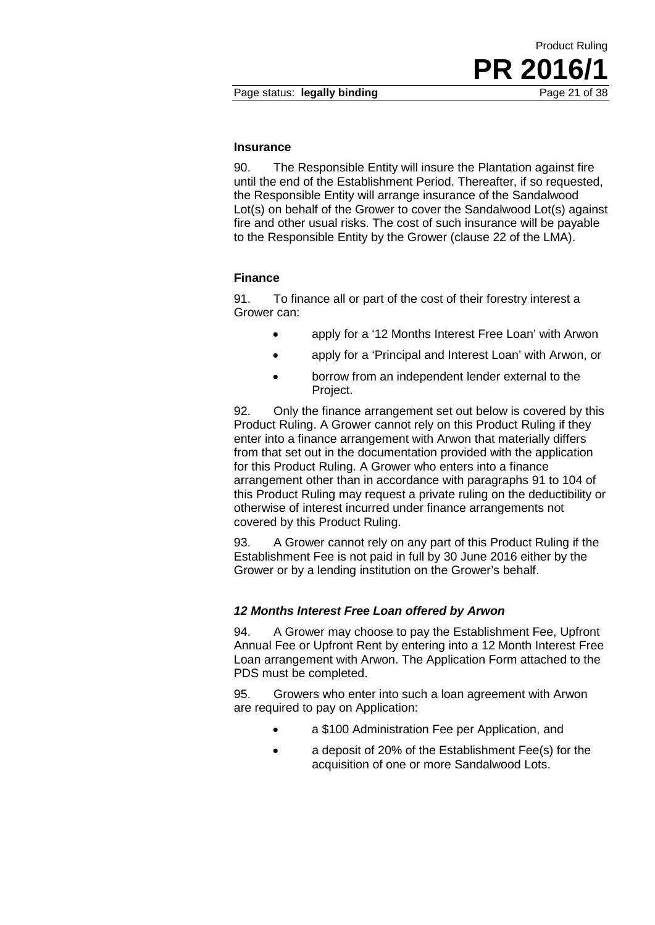90. The Responsible Entity will insure the Plantation against fire until the end of the Establishment Period. Thereafter, if so requested, the Responsible Entity will arrange insurance of the Sandalwood Lot(s) on behalf of the Grower to cover the Sandalwood Lot(s) against fire and other usual risks. The cost of such insurance will be payable to the Responsible Entity by the Grower (clause 22 of the LMA).

#### **Finance**

**Insurance**

91. To finance all or part of the cost of their forestry interest a Grower can:

- apply for a '12 Months Interest Free Loan' with Arwon
- apply for a 'Principal and Interest Loan' with Arwon, or
- borrow from an independent lender external to the Project.

92. Only the finance arrangement set out below is covered by this Product Ruling. A Grower cannot rely on this Product Ruling if they enter into a finance arrangement with Arwon that materially differs from that set out in the documentation provided with the application for this Product Ruling. A Grower who enters into a finance arrangement other than in accordance with paragraphs 91 to 104 of this Product Ruling may request a private ruling on the deductibility or otherwise of interest incurred under finance arrangements not covered by this Product Ruling.

93. A Grower cannot rely on any part of this Product Ruling if the Establishment Fee is not paid in full by 30 June 2016 either by the Grower or by a lending institution on the Grower's behalf.

#### *12 Months Interest Free Loan offered by Arwon*

94. A Grower may choose to pay the Establishment Fee, Upfront Annual Fee or Upfront Rent by entering into a 12 Month Interest Free Loan arrangement with Arwon. The Application Form attached to the PDS must be completed.

95. Growers who enter into such a loan agreement with Arwon are required to pay on Application:

- a \$100 Administration Fee per Application, and
- a deposit of 20% of the Establishment Fee(s) for the acquisition of one or more Sandalwood Lots.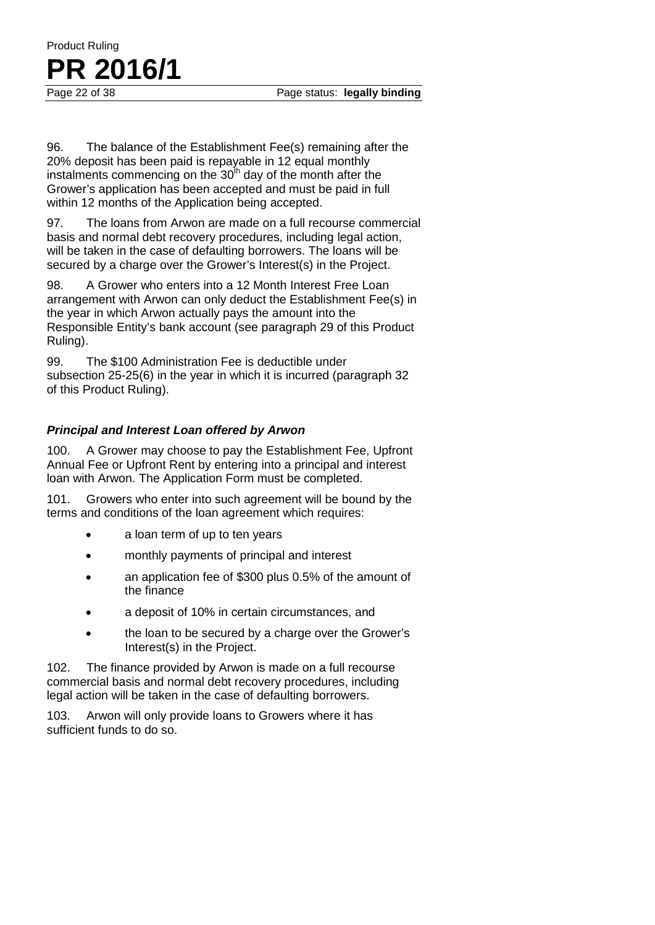96. The balance of the Establishment Fee(s) remaining after the 20% deposit has been paid is repayable in 12 equal monthly instalments commencing on the  $30<sup>th</sup>$  day of the month after the Grower's application has been accepted and must be paid in full within 12 months of the Application being accepted.

Product Ruling

**PR** 2016/1

97. The loans from Arwon are made on a full recourse commercial basis and normal debt recovery procedures, including legal action, will be taken in the case of defaulting borrowers. The loans will be secured by a charge over the Grower's Interest(s) in the Project.

98. A Grower who enters into a 12 Month Interest Free Loan arrangement with Arwon can only deduct the Establishment Fee(s) in the year in which Arwon actually pays the amount into the Responsible Entity's bank account (see paragraph 29 of this Product Ruling).

99. The \$100 Administration Fee is deductible under subsection 25-25(6) in the year in which it is incurred (paragraph 32 of this Product Ruling).

#### *Principal and Interest Loan offered by Arwon*

100. A Grower may choose to pay the Establishment Fee, Upfront Annual Fee or Upfront Rent by entering into a principal and interest loan with Arwon. The Application Form must be completed.

101. Growers who enter into such agreement will be bound by the terms and conditions of the loan agreement which requires:

- a loan term of up to ten years
- monthly payments of principal and interest
- an application fee of \$300 plus 0.5% of the amount of the finance
- a deposit of 10% in certain circumstances, and
- the loan to be secured by a charge over the Grower's Interest(s) in the Project.

102. The finance provided by Arwon is made on a full recourse commercial basis and normal debt recovery procedures, including legal action will be taken in the case of defaulting borrowers.

103. Arwon will only provide loans to Growers where it has sufficient funds to do so.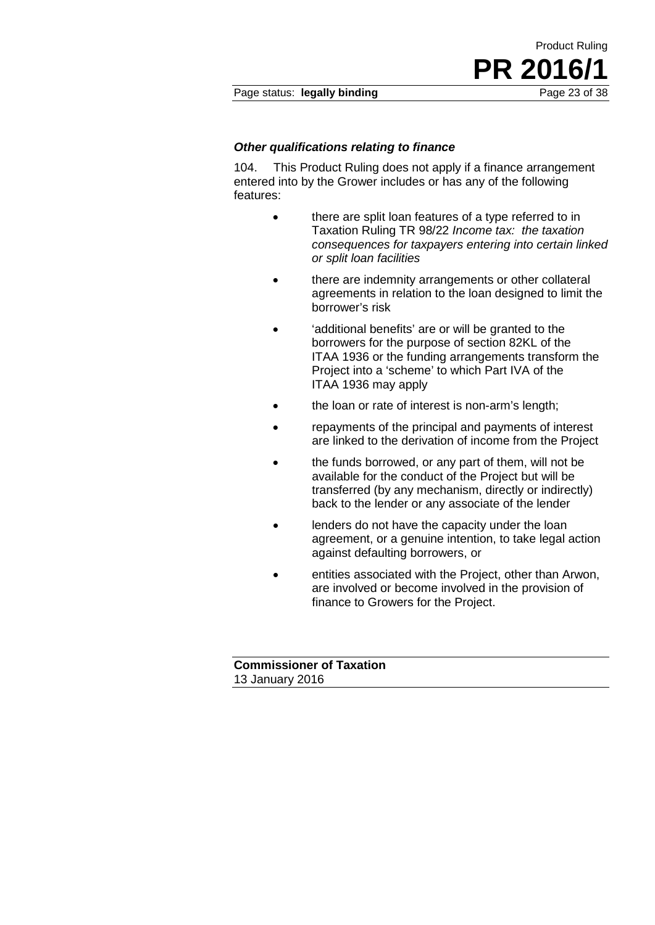#### *Other qualifications relating to finance*

104. This Product Ruling does not apply if a finance arrangement entered into by the Grower includes or has any of the following features:

> • there are split loan features of a type referred to in Taxation Ruling TR 98/22 *Income tax: the taxation consequences for taxpayers entering into certain linked or split loan facilities*

Product Ruling

**PR 2016/1**

- there are indemnity arrangements or other collateral agreements in relation to the loan designed to limit the borrower's risk
- 'additional benefits' are or will be granted to the borrowers for the purpose of section 82KL of the ITAA 1936 or the funding arrangements transform the Project into a 'scheme' to which Part IVA of the ITAA 1936 may apply
- the loan or rate of interest is non-arm's length;
- repayments of the principal and payments of interest are linked to the derivation of income from the Project
- the funds borrowed, or any part of them, will not be available for the conduct of the Project but will be transferred (by any mechanism, directly or indirectly) back to the lender or any associate of the lender
- lenders do not have the capacity under the loan agreement, or a genuine intention, to take legal action against defaulting borrowers, or
- entities associated with the Project, other than Arwon, are involved or become involved in the provision of finance to Growers for the Project.

**Commissioner of Taxation** 13 January 2016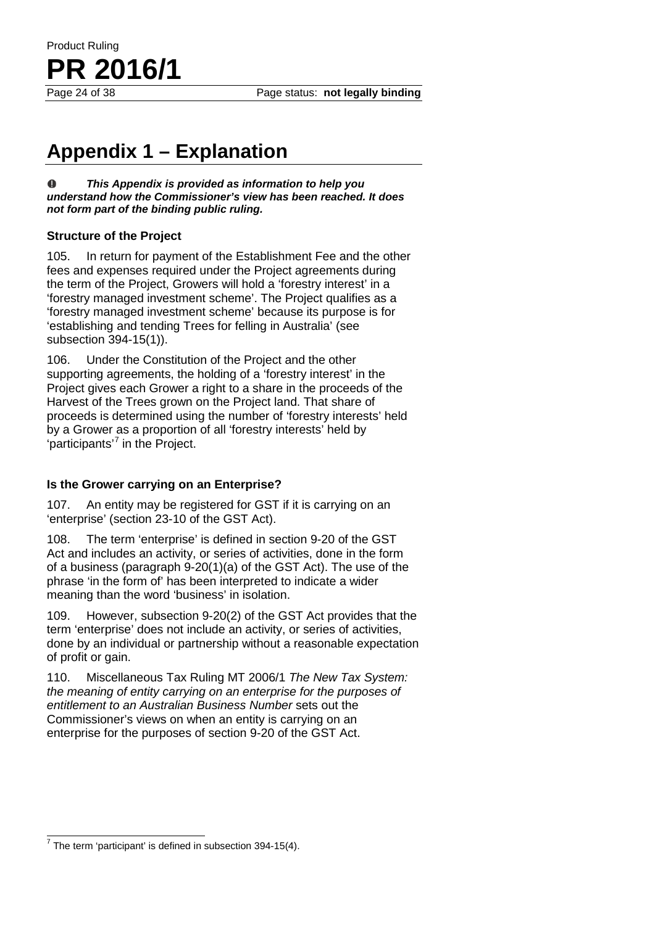Page status: **not legally binding** 

# **Appendix 1 – Explanation**

 $\bf{0}$ *This Appendix is provided as information to help you understand how the Commissioner's view has been reached. It does not form part of the binding public ruling.*

#### **Structure of the Project**

**PR 2016/1**

Product Ruling

105. In return for payment of the Establishment Fee and the other fees and expenses required under the Project agreements during the term of the Project, Growers will hold a 'forestry interest' in a 'forestry managed investment scheme'. The Project qualifies as a 'forestry managed investment scheme' because its purpose is for 'establishing and tending Trees for felling in Australia' (see subsection 394-15(1)).

106. Under the Constitution of the Project and the other supporting agreements, the holding of a 'forestry interest' in the Project gives each Grower a right to a share in the proceeds of the Harvest of the Trees grown on the Project land. That share of proceeds is determined using the number of 'forestry interests' held by a Grower as a proportion of all 'forestry interests' held by 'participants'<sup>[7](#page-23-0)</sup> in the Project.

#### **Is the Grower carrying on an Enterprise?**

107. An entity may be registered for GST if it is carrying on an 'enterprise' (section 23-10 of the GST Act).

108. The term 'enterprise' is defined in section 9-20 of the GST Act and includes an activity, or series of activities, done in the form of a business (paragraph 9-20(1)(a) of the GST Act). The use of the phrase 'in the form of' has been interpreted to indicate a wider meaning than the word 'business' in isolation.

109. However, subsection 9-20(2) of the GST Act provides that the term 'enterprise' does not include an activity, or series of activities, done by an individual or partnership without a reasonable expectation of profit or gain.

110. Miscellaneous Tax Ruling MT 2006/1 *The New Tax System: the meaning of entity carrying on an enterprise for the purposes of entitlement to an Australian Business Number* sets out the Commissioner's views on when an entity is carrying on an enterprise for the purposes of section 9-20 of the GST Act.

<span id="page-23-0"></span> $7$  The term 'participant' is defined in subsection 394-15(4).  $\overline{a}$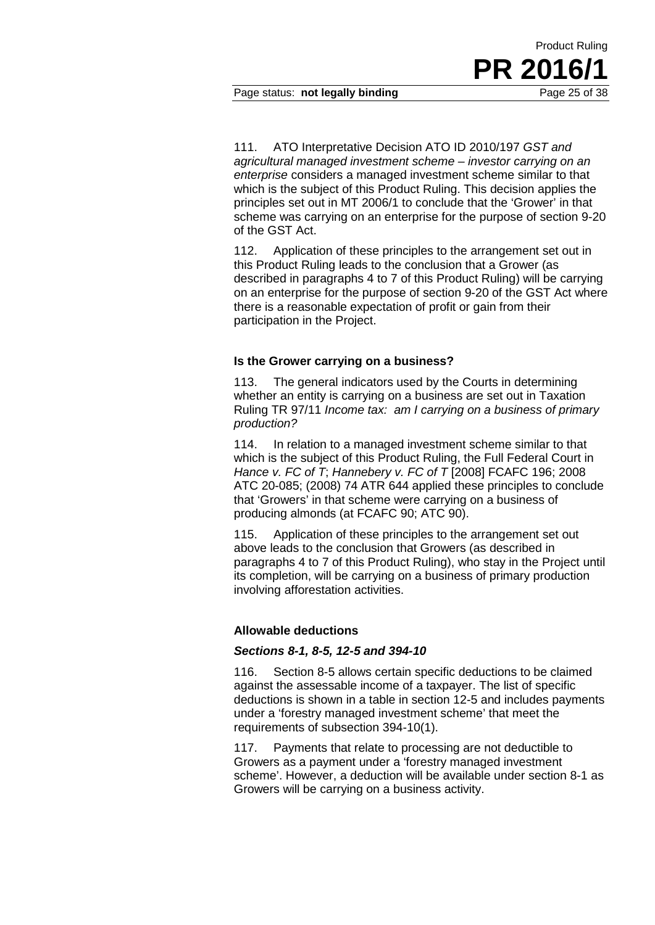Page status: **not legally binding** 

111. ATO Interpretative Decision ATO ID 2010/197 *GST and agricultural managed investment scheme – investor carrying on an enterprise* considers a managed investment scheme similar to that which is the subject of this Product Ruling. This decision applies the principles set out in MT 2006/1 to conclude that the 'Grower' in that scheme was carrying on an enterprise for the purpose of section 9-20 of the GST Act.

112. Application of these principles to the arrangement set out in this Product Ruling leads to the conclusion that a Grower (as described in paragraphs 4 to 7 of this Product Ruling) will be carrying on an enterprise for the purpose of section 9-20 of the GST Act where there is a reasonable expectation of profit or gain from their participation in the Project.

#### **Is the Grower carrying on a business?**

113. The general indicators used by the Courts in determining whether an entity is carrying on a business are set out in Taxation Ruling TR 97/11 *Income tax: am I carrying on a business of primary production?*

114. In relation to a managed investment scheme similar to that which is the subject of this Product Ruling, the Full Federal Court in *Hance v. FC of T*; *Hannebery v. FC of T* [2008] FCAFC 196; 2008 ATC 20-085; (2008) 74 ATR 644 applied these principles to conclude that 'Growers' in that scheme were carrying on a business of producing almonds (at FCAFC 90; ATC 90).

115. Application of these principles to the arrangement set out above leads to the conclusion that Growers (as described in paragraphs 4 to 7 of this Product Ruling), who stay in the Project until its completion, will be carrying on a business of primary production involving afforestation activities.

#### **Allowable deductions**

#### *Sections 8-1, 8-5, 12-5 and 394-10*

116. Section 8-5 allows certain specific deductions to be claimed against the assessable income of a taxpayer. The list of specific deductions is shown in a table in section 12-5 and includes payments under a 'forestry managed investment scheme' that meet the requirements of subsection 394-10(1).

117. Payments that relate to processing are not deductible to Growers as a payment under a 'forestry managed investment scheme'. However, a deduction will be available under section 8-1 as Growers will be carrying on a business activity.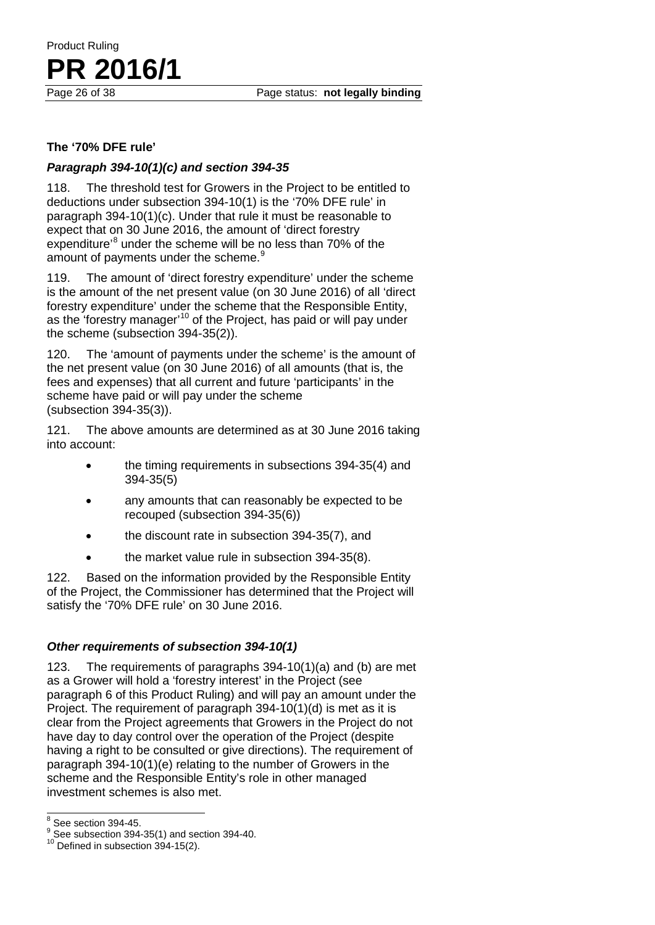#### **The '70% DFE rule'**

**PR** 2016/1

Product Ruling

#### *Paragraph 394-10(1)(c) and section 394-35*

118. The threshold test for Growers in the Project to be entitled to deductions under subsection 394-10(1) is the '70% DFE rule' in paragraph 394-10(1)(c). Under that rule it must be reasonable to expect that on 30 June 2016, the amount of 'direct forestry expenditure'<sup>[8](#page-25-0)</sup> under the scheme will be no less than 70% of the amount of payments under the scheme.<sup>[9](#page-25-1)</sup>

119. The amount of 'direct forestry expenditure' under the scheme is the amount of the net present value (on 30 June 2016) of all 'direct forestry expenditure' under the scheme that the Responsible Entity, as the 'forestry manager'<sup>[10](#page-25-2)</sup> of the Project, has paid or will pay under the scheme (subsection 394-35(2)).

120. The 'amount of payments under the scheme' is the amount of the net present value (on 30 June 2016) of all amounts (that is, the fees and expenses) that all current and future 'participants' in the scheme have paid or will pay under the scheme (subsection 394-35(3)).

121. The above amounts are determined as at 30 June 2016 taking into account:

- the timing requirements in subsections 394-35(4) and 394-35(5)
- any amounts that can reasonably be expected to be recouped (subsection 394-35(6))
- the discount rate in subsection 394-35(7), and
- the market value rule in subsection 394-35(8).

122. Based on the information provided by the Responsible Entity of the Project, the Commissioner has determined that the Project will satisfy the '70% DFE rule' on 30 June 2016.

#### *Other requirements of subsection 394-10(1)*

123. The requirements of paragraphs 394-10(1)(a) and (b) are met as a Grower will hold a 'forestry interest' in the Project (see paragraph 6 of this Product Ruling) and will pay an amount under the Project. The requirement of paragraph 394-10(1)(d) is met as it is clear from the Project agreements that Growers in the Project do not have day to day control over the operation of the Project (despite having a right to be consulted or give directions). The requirement of paragraph 394-10(1)(e) relating to the number of Growers in the scheme and the Responsible Entity's role in other managed investment schemes is also met.

<span id="page-25-0"></span> $8$  See section 394-45.

<span id="page-25-1"></span><sup>&</sup>lt;sup>9</sup> See subsection 394-35(1) and section 394-40.<br><sup>10</sup> Defined in subsection 394-15(2).

<span id="page-25-2"></span>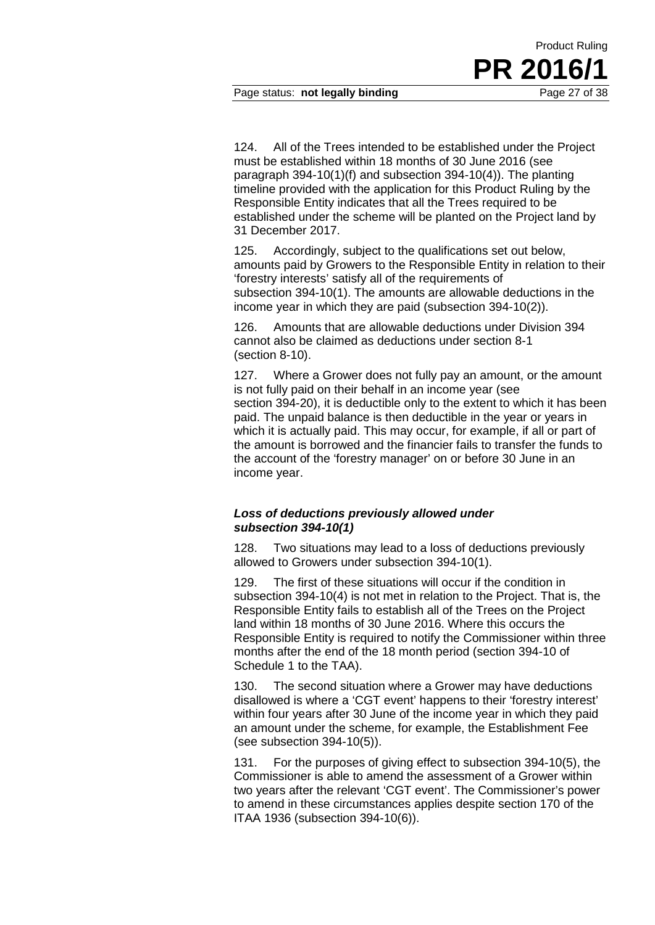124. All of the Trees intended to be established under the Project must be established within 18 months of 30 June 2016 (see paragraph 394-10(1)(f) and subsection 394-10(4)). The planting timeline provided with the application for this Product Ruling by the Responsible Entity indicates that all the Trees required to be established under the scheme will be planted on the Project land by 31 December 2017.

125. Accordingly, subject to the qualifications set out below, amounts paid by Growers to the Responsible Entity in relation to their 'forestry interests' satisfy all of the requirements of subsection 394-10(1). The amounts are allowable deductions in the income year in which they are paid (subsection 394-10(2)).

126. Amounts that are allowable deductions under Division 394 cannot also be claimed as deductions under section 8-1 (section 8-10).

127. Where a Grower does not fully pay an amount, or the amount is not fully paid on their behalf in an income year (see section 394-20), it is deductible only to the extent to which it has been paid. The unpaid balance is then deductible in the year or years in which it is actually paid. This may occur, for example, if all or part of the amount is borrowed and the financier fails to transfer the funds to the account of the 'forestry manager' on or before 30 June in an income year.

#### *Loss of deductions previously allowed under subsection 394-10(1)*

128. Two situations may lead to a loss of deductions previously allowed to Growers under subsection 394-10(1).

129. The first of these situations will occur if the condition in subsection 394-10(4) is not met in relation to the Project. That is, the Responsible Entity fails to establish all of the Trees on the Project land within 18 months of 30 June 2016. Where this occurs the Responsible Entity is required to notify the Commissioner within three months after the end of the 18 month period (section 394-10 of Schedule 1 to the TAA).

130. The second situation where a Grower may have deductions disallowed is where a 'CGT event' happens to their 'forestry interest' within four years after 30 June of the income year in which they paid an amount under the scheme, for example, the Establishment Fee (see subsection 394-10(5)).

131. For the purposes of giving effect to subsection 394-10(5), the Commissioner is able to amend the assessment of a Grower within two years after the relevant 'CGT event'. The Commissioner's power to amend in these circumstances applies despite section 170 of the ITAA 1936 (subsection 394-10(6)).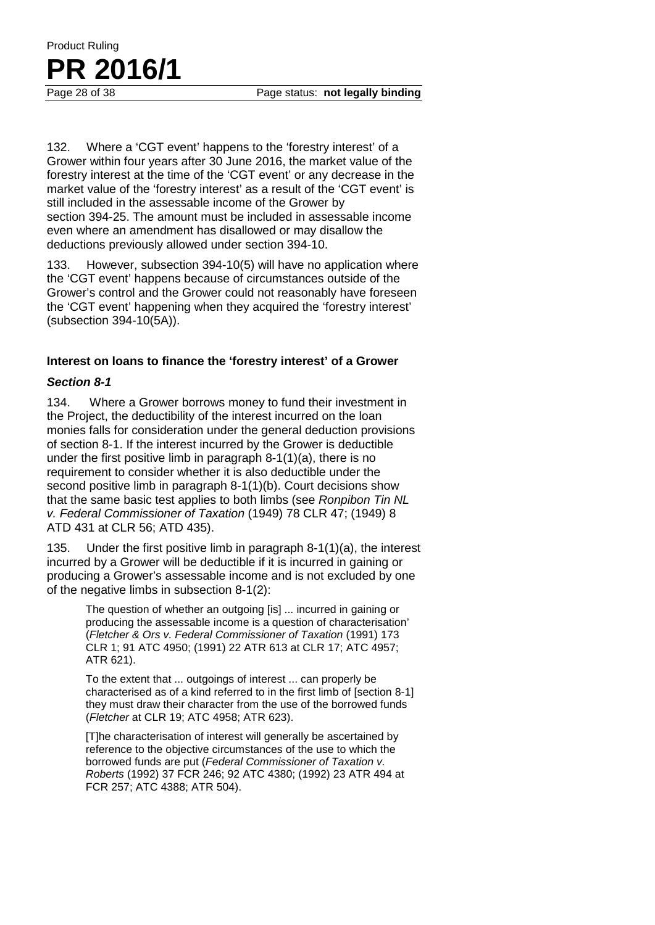132. Where a 'CGT event' happens to the 'forestry interest' of a Grower within four years after 30 June 2016, the market value of the forestry interest at the time of the 'CGT event' or any decrease in the market value of the 'forestry interest' as a result of the 'CGT event' is still included in the assessable income of the Grower by section 394-25. The amount must be included in assessable income even where an amendment has disallowed or may disallow the deductions previously allowed under section 394-10.

133. However, subsection 394-10(5) will have no application where the 'CGT event' happens because of circumstances outside of the Grower's control and the Grower could not reasonably have foreseen the 'CGT event' happening when they acquired the 'forestry interest' (subsection 394-10(5A)).

#### **Interest on loans to finance the 'forestry interest' of a Grower**

#### *Section 8-1*

134. Where a Grower borrows money to fund their investment in the Project, the deductibility of the interest incurred on the loan monies falls for consideration under the general deduction provisions of section 8-1. If the interest incurred by the Grower is deductible under the first positive limb in paragraph 8-1(1)(a), there is no requirement to consider whether it is also deductible under the second positive limb in paragraph 8-1(1)(b). Court decisions show that the same basic test applies to both limbs (see *Ronpibon Tin NL v. Federal Commissioner of Taxation* (1949) 78 CLR 47; (1949) 8 ATD 431 at CLR 56; ATD 435).

135. Under the first positive limb in paragraph 8-1(1)(a), the interest incurred by a Grower will be deductible if it is incurred in gaining or producing a Grower's assessable income and is not excluded by one of the negative limbs in subsection 8-1(2):

> The question of whether an outgoing [is] ... incurred in gaining or producing the assessable income is a question of characterisation' (*Fletcher & Ors v. Federal Commissioner of Taxation* (1991) 173 CLR 1; 91 ATC 4950; (1991) 22 ATR 613 at CLR 17; ATC 4957; ATR 621).

To the extent that ... outgoings of interest ... can properly be characterised as of a kind referred to in the first limb of [section 8-1] they must draw their character from the use of the borrowed funds (*Fletcher* at CLR 19; ATC 4958; ATR 623).

[T]he characterisation of interest will generally be ascertained by reference to the objective circumstances of the use to which the borrowed funds are put (*Federal Commissioner of Taxation v. Roberts* (1992) 37 FCR 246; 92 ATC 4380; (1992) 23 ATR 494 at FCR 257; ATC 4388; ATR 504).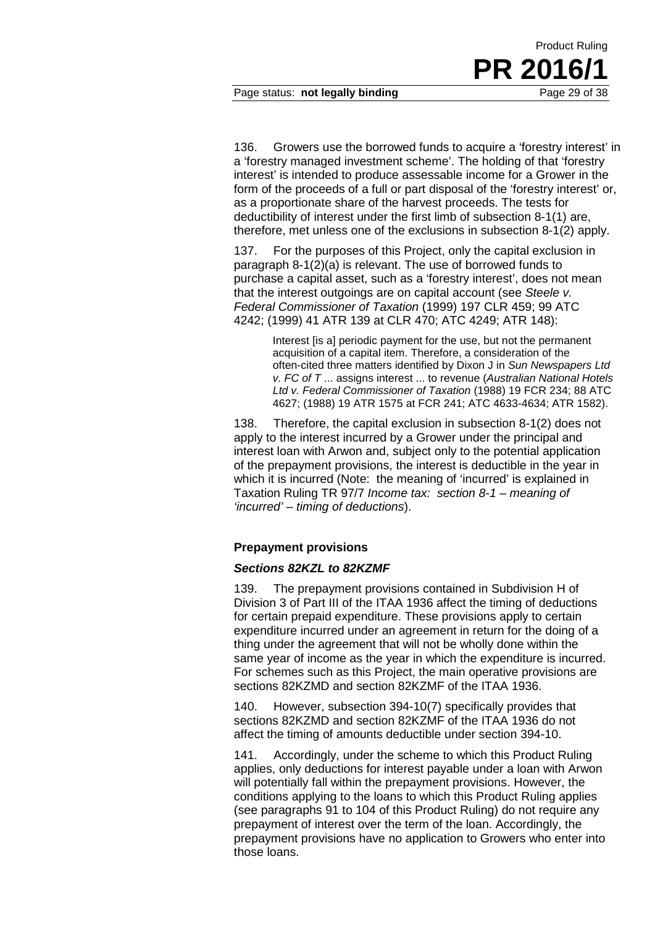136. Growers use the borrowed funds to acquire a 'forestry interest' in a 'forestry managed investment scheme'. The holding of that 'forestry interest' is intended to produce assessable income for a Grower in the form of the proceeds of a full or part disposal of the 'forestry interest' or, as a proportionate share of the harvest proceeds. The tests for deductibility of interest under the first limb of subsection 8-1(1) are, therefore, met unless one of the exclusions in subsection 8-1(2) apply.

137. For the purposes of this Project, only the capital exclusion in paragraph 8-1(2)(a) is relevant. The use of borrowed funds to purchase a capital asset, such as a 'forestry interest', does not mean that the interest outgoings are on capital account (see *Steele v. Federal Commissioner of Taxation* (1999) 197 CLR 459; 99 ATC 4242; (1999) 41 ATR 139 at CLR 470; ATC 4249; ATR 148):

> Interest [is a] periodic payment for the use, but not the permanent acquisition of a capital item. Therefore, a consideration of the often-cited three matters identified by Dixon J in *Sun Newspapers Ltd v. FC of T* ... assigns interest ... to revenue (*Australian National Hotels Ltd v. Federal Commissioner of Taxation* (1988) 19 FCR 234; 88 ATC 4627; (1988) 19 ATR 1575 at FCR 241; ATC 4633-4634; ATR 1582).

138. Therefore, the capital exclusion in subsection 8-1(2) does not apply to the interest incurred by a Grower under the principal and interest loan with Arwon and, subject only to the potential application of the prepayment provisions, the interest is deductible in the year in which it is incurred (Note: the meaning of 'incurred' is explained in Taxation Ruling TR 97/7 *Income tax: section 8-1 – meaning of 'incurred' – timing of deductions*).

#### **Prepayment provisions**

#### *Sections 82KZL to 82KZMF*

139. The prepayment provisions contained in Subdivision H of Division 3 of Part III of the ITAA 1936 affect the timing of deductions for certain prepaid expenditure. These provisions apply to certain expenditure incurred under an agreement in return for the doing of a thing under the agreement that will not be wholly done within the same year of income as the year in which the expenditure is incurred. For schemes such as this Project, the main operative provisions are sections 82KZMD and section 82KZMF of the ITAA 1936.

140. However, subsection 394-10(7) specifically provides that sections 82KZMD and section 82KZMF of the ITAA 1936 do not affect the timing of amounts deductible under section 394-10.

141. Accordingly, under the scheme to which this Product Ruling applies, only deductions for interest payable under a loan with Arwon will potentially fall within the prepayment provisions. However, the conditions applying to the loans to which this Product Ruling applies (see paragraphs 91 to 104 of this Product Ruling) do not require any prepayment of interest over the term of the loan. Accordingly, the prepayment provisions have no application to Growers who enter into those loans.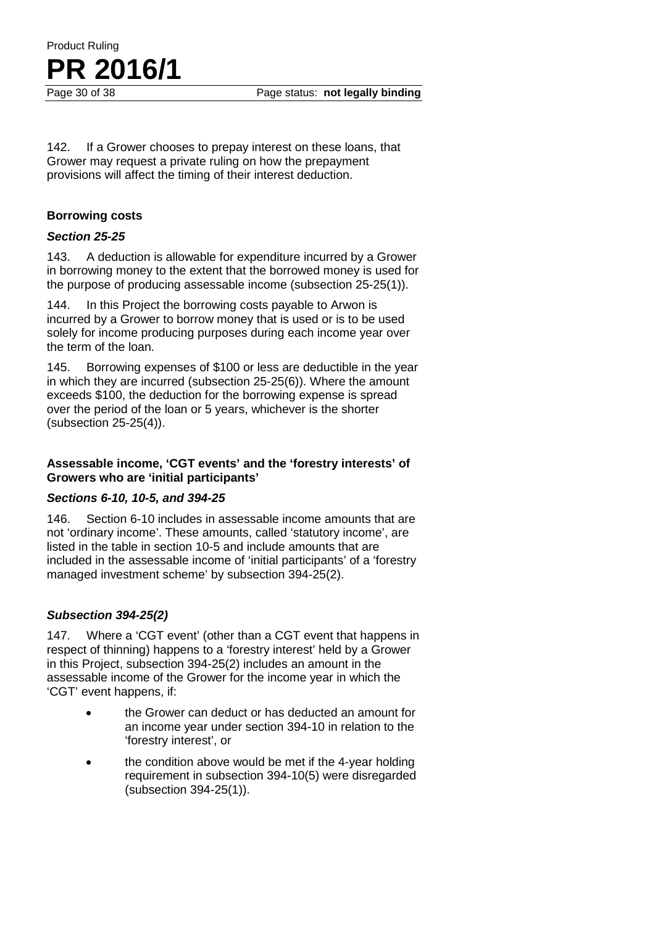142. If a Grower chooses to prepay interest on these loans, that Grower may request a private ruling on how the prepayment provisions will affect the timing of their interest deduction.

#### **Borrowing costs**

#### *Section 25-25*

143. A deduction is allowable for expenditure incurred by a Grower in borrowing money to the extent that the borrowed money is used for the purpose of producing assessable income (subsection 25-25(1)).

144. In this Project the borrowing costs payable to Arwon is incurred by a Grower to borrow money that is used or is to be used solely for income producing purposes during each income year over the term of the loan.

145. Borrowing expenses of \$100 or less are deductible in the year in which they are incurred (subsection 25-25(6)). Where the amount exceeds \$100, the deduction for the borrowing expense is spread over the period of the loan or 5 years, whichever is the shorter (subsection 25-25(4)).

#### **Assessable income, 'CGT events' and the 'forestry interests' of Growers who are 'initial participants'**

#### *Sections 6-10, 10-5, and 394-25*

146. Section 6-10 includes in assessable income amounts that are not 'ordinary income'. These amounts, called 'statutory income', are listed in the table in section 10-5 and include amounts that are included in the assessable income of 'initial participants' of a 'forestry managed investment scheme' by subsection 394-25(2).

#### *Subsection 394-25(2)*

147. Where a 'CGT event' (other than a CGT event that happens in respect of thinning) happens to a 'forestry interest' held by a Grower in this Project, subsection 394-25(2) includes an amount in the assessable income of the Grower for the income year in which the 'CGT' event happens, if:

- the Grower can deduct or has deducted an amount for an income year under section 394-10 in relation to the 'forestry interest', or
- the condition above would be met if the 4-year holding requirement in subsection 394-10(5) were disregarded (subsection 394-25(1)).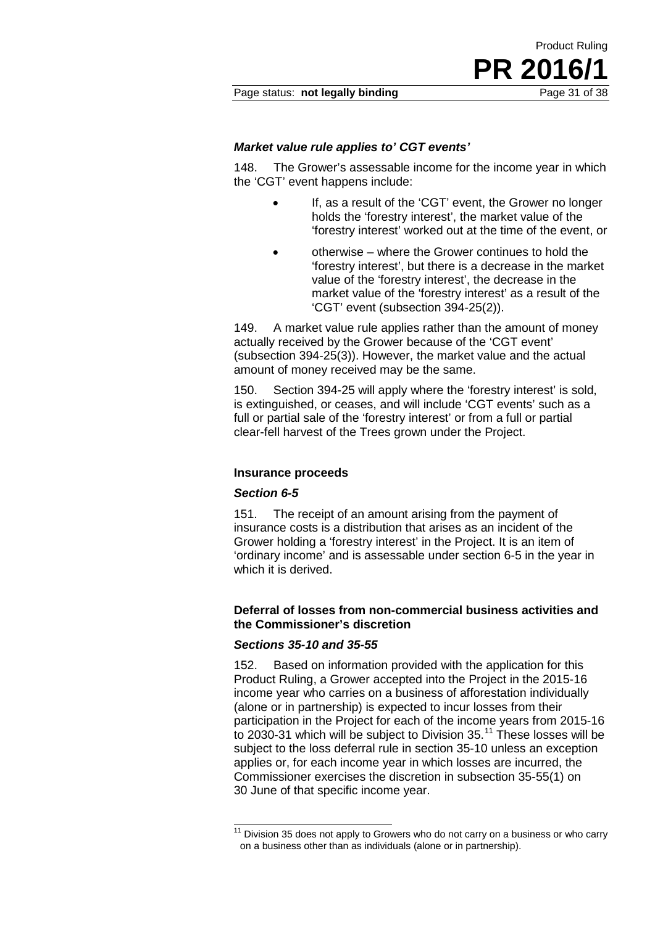Page status: **not legally binding** Page 31 of 38

#### *Market value rule applies to' CGT events'*

148. The Grower's assessable income for the income year in which the 'CGT' event happens include:

> • If, as a result of the 'CGT' event, the Grower no longer holds the 'forestry interest', the market value of the 'forestry interest' worked out at the time of the event, or

Product Ruling

**PR** 201

• otherwise – where the Grower continues to hold the 'forestry interest', but there is a decrease in the market value of the 'forestry interest', the decrease in the market value of the 'forestry interest' as a result of the 'CGT' event (subsection 394-25(2)).

149. A market value rule applies rather than the amount of money actually received by the Grower because of the 'CGT event' (subsection 394-25(3)). However, the market value and the actual amount of money received may be the same.

150. Section 394-25 will apply where the 'forestry interest' is sold, is extinguished, or ceases, and will include 'CGT events' such as a full or partial sale of the 'forestry interest' or from a full or partial clear-fell harvest of the Trees grown under the Project.

#### **Insurance proceeds**

#### *Section 6-5*

151. The receipt of an amount arising from the payment of insurance costs is a distribution that arises as an incident of the Grower holding a 'forestry interest' in the Project. It is an item of 'ordinary income' and is assessable under section 6-5 in the year in which it is derived.

#### **Deferral of losses from non-commercial business activities and the Commissioner's discretion**

#### *Sections 35-10 and 35-55*

152. Based on information provided with the application for this Product Ruling, a Grower accepted into the Project in the 2015-16 income year who carries on a business of afforestation individually (alone or in partnership) is expected to incur losses from their participation in the Project for each of the income years from 2015-16 to 2030-31 which will be subject to Division 35.<sup>[11](#page-30-0)</sup> These losses will be subject to the loss deferral rule in section 35-10 unless an exception applies or, for each income year in which losses are incurred, the Commissioner exercises the discretion in subsection 35-55(1) on 30 June of that specific income year.

<span id="page-30-0"></span> $11$  Division 35 does not apply to Growers who do not carry on a business or who carry on a business other than as individuals (alone or in partnership).  $\overline{\phantom{a}}$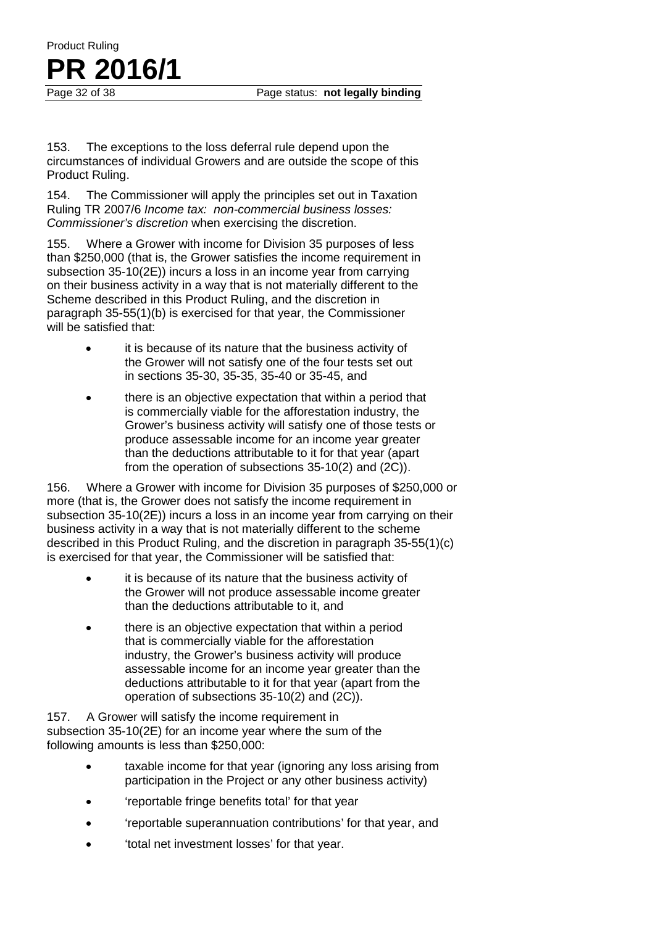153. The exceptions to the loss deferral rule depend upon the circumstances of individual Growers and are outside the scope of this Product Ruling.

Product Ruling

**PR** 2016/1

154. The Commissioner will apply the principles set out in Taxation Ruling TR 2007/6 *Income tax: non-commercial business losses: Commissioner's discretion* when exercising the discretion.

155. Where a Grower with income for Division 35 purposes of less than \$250,000 (that is, the Grower satisfies the income requirement in subsection 35-10(2E)) incurs a loss in an income year from carrying on their business activity in a way that is not materially different to the Scheme described in this Product Ruling, and the discretion in paragraph 35-55(1)(b) is exercised for that year, the Commissioner will be satisfied that:

- it is because of its nature that the business activity of the Grower will not satisfy one of the four tests set out in sections 35-30, 35-35, 35-40 or 35-45, and
- there is an objective expectation that within a period that is commercially viable for the afforestation industry, the Grower's business activity will satisfy one of those tests or produce assessable income for an income year greater than the deductions attributable to it for that year (apart from the operation of subsections 35-10(2) and (2C)).

156. Where a Grower with income for Division 35 purposes of \$250,000 or more (that is, the Grower does not satisfy the income requirement in subsection 35-10(2E)) incurs a loss in an income year from carrying on their business activity in a way that is not materially different to the scheme described in this Product Ruling, and the discretion in paragraph 35-55(1)(c) is exercised for that year, the Commissioner will be satisfied that:

- it is because of its nature that the business activity of the Grower will not produce assessable income greater than the deductions attributable to it, and
- there is an objective expectation that within a period that is commercially viable for the afforestation industry, the Grower's business activity will produce assessable income for an income year greater than the deductions attributable to it for that year (apart from the operation of subsections 35-10(2) and (2C)).

157. A Grower will satisfy the income requirement in subsection 35-10(2E) for an income year where the sum of the following amounts is less than \$250,000:

- taxable income for that year (ignoring any loss arising from participation in the Project or any other business activity)
- 'reportable fringe benefits total' for that year
- 'reportable superannuation contributions' for that year, and
- 'total net investment losses' for that year.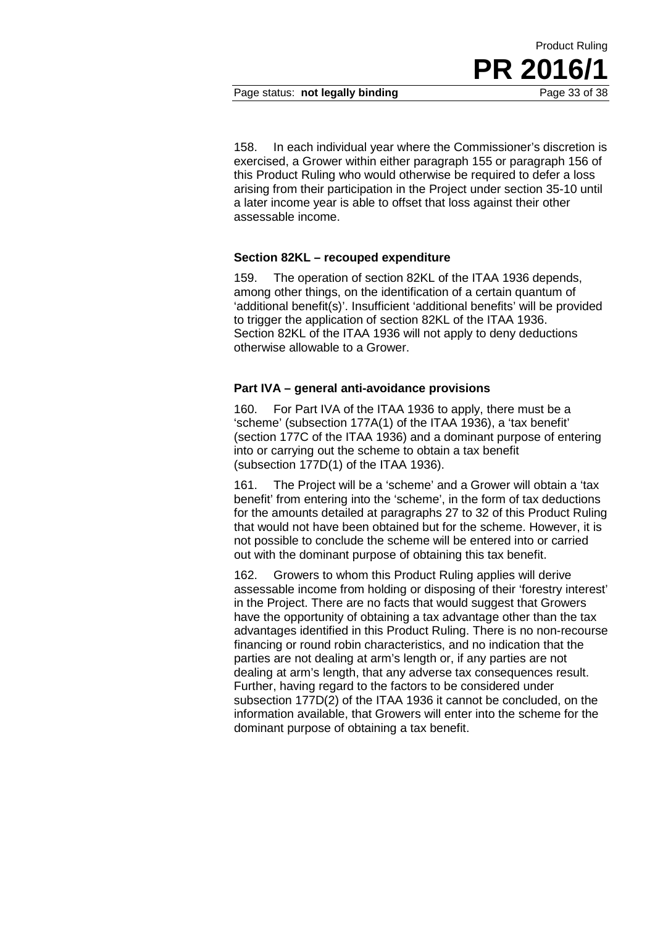158. In each individual year where the Commissioner's discretion is exercised, a Grower within either paragraph 155 or paragraph 156 of this Product Ruling who would otherwise be required to defer a loss arising from their participation in the Project under section 35-10 until a later income year is able to offset that loss against their other assessable income.

#### **Section 82KL – recouped expenditure**

159. The operation of section 82KL of the ITAA 1936 depends, among other things, on the identification of a certain quantum of 'additional benefit(s)'. Insufficient 'additional benefits' will be provided to trigger the application of section 82KL of the ITAA 1936. Section 82KL of the ITAA 1936 will not apply to deny deductions otherwise allowable to a Grower.

#### **Part IVA – general anti-avoidance provisions**

160. For Part IVA of the ITAA 1936 to apply, there must be a 'scheme' (subsection 177A(1) of the ITAA 1936), a 'tax benefit' (section 177C of the ITAA 1936) and a dominant purpose of entering into or carrying out the scheme to obtain a tax benefit (subsection 177D(1) of the ITAA 1936).

161. The Project will be a 'scheme' and a Grower will obtain a 'tax benefit' from entering into the 'scheme', in the form of tax deductions for the amounts detailed at paragraphs 27 to 32 of this Product Ruling that would not have been obtained but for the scheme. However, it is not possible to conclude the scheme will be entered into or carried out with the dominant purpose of obtaining this tax benefit.

162. Growers to whom this Product Ruling applies will derive assessable income from holding or disposing of their 'forestry interest' in the Project. There are no facts that would suggest that Growers have the opportunity of obtaining a tax advantage other than the tax advantages identified in this Product Ruling. There is no non-recourse financing or round robin characteristics, and no indication that the parties are not dealing at arm's length or, if any parties are not dealing at arm's length, that any adverse tax consequences result. Further, having regard to the factors to be considered under subsection 177D(2) of the ITAA 1936 it cannot be concluded, on the information available, that Growers will enter into the scheme for the dominant purpose of obtaining a tax benefit.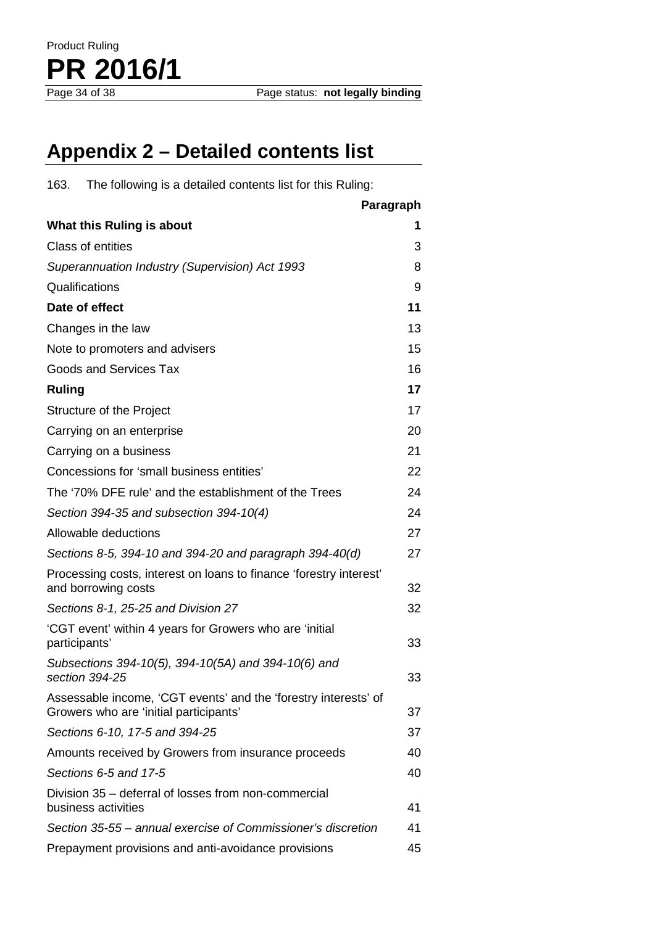# **Appendix 2 – Detailed contents list**

163. The following is a detailed contents list for this Ruling:

|                                                                                                           | Paragraph |
|-----------------------------------------------------------------------------------------------------------|-----------|
| What this Ruling is about                                                                                 | 1         |
| Class of entities                                                                                         | 3         |
| Superannuation Industry (Supervision) Act 1993                                                            | 8         |
| Qualifications                                                                                            | 9         |
| Date of effect                                                                                            | 11        |
| Changes in the law                                                                                        | 13        |
| Note to promoters and advisers                                                                            | 15        |
| Goods and Services Tax                                                                                    | 16        |
| <b>Ruling</b>                                                                                             | 17        |
| Structure of the Project                                                                                  | 17        |
| Carrying on an enterprise                                                                                 | 20        |
| Carrying on a business                                                                                    | 21        |
| Concessions for 'small business entities'                                                                 | 22        |
| The '70% DFE rule' and the establishment of the Trees                                                     | 24        |
| Section 394-35 and subsection 394-10(4)                                                                   | 24        |
| Allowable deductions                                                                                      | 27        |
| Sections 8-5, 394-10 and 394-20 and paragraph 394-40(d)                                                   | 27        |
| Processing costs, interest on loans to finance 'forestry interest'<br>and borrowing costs                 | 32        |
| Sections 8-1, 25-25 and Division 27                                                                       | 32        |
| 'CGT event' within 4 years for Growers who are 'initial<br>participants'                                  | 33        |
| Subsections 394-10(5), 394-10(5A) and 394-10(6) and<br>section 394-25                                     | 33        |
| Assessable income, 'CGT events' and the 'forestry interests' of<br>Growers who are 'initial participants' | 37        |
| Sections 6-10, 17-5 and 394-25                                                                            | 37        |
| Amounts received by Growers from insurance proceeds                                                       | 40        |
| Sections 6-5 and 17-5                                                                                     | 40        |
| Division 35 - deferral of losses from non-commercial<br>business activities                               | 41        |
| Section 35-55 – annual exercise of Commissioner's discretion                                              | 41        |
| Prepayment provisions and anti-avoidance provisions                                                       | 45        |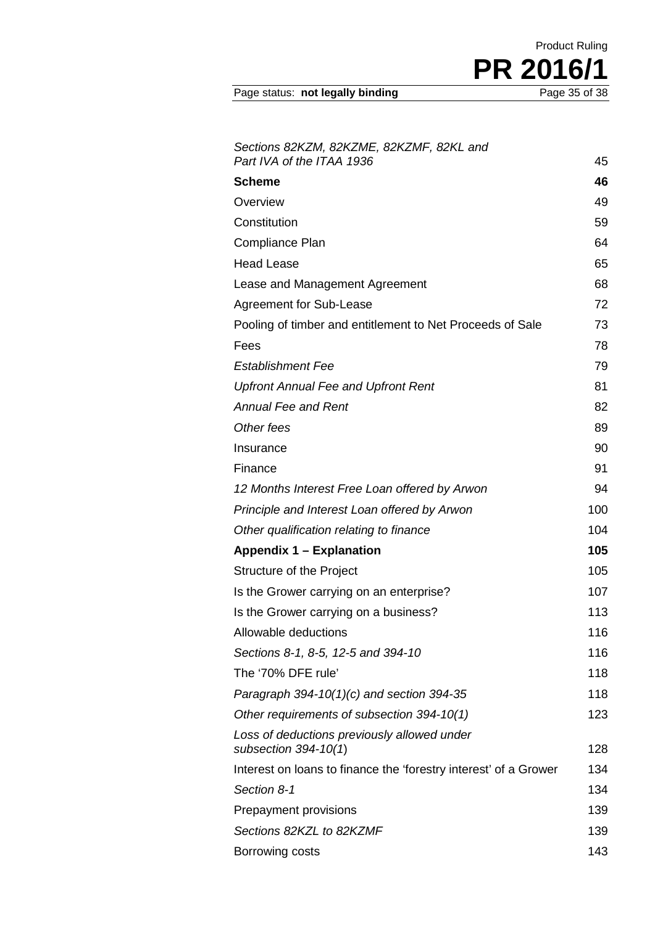Page status: not legally binding

*Sections 82KZM, 82KZME, 82KZMF, 82KL and Part IVA of the ITAA 1936* 45 **Scheme 46** Overview 49 Constitution 59 Compliance Plan 64 Head Lease 65 Lease and Management Agreement **68** Agreement for Sub-Lease 72 Pooling of timber and entitlement to Net Proceeds of Sale 73 Fees 78 *Establishment Fee* 79 *Upfront Annual Fee and Upfront Rent* 81 *Annual Fee and Rent* 82 **Other fees** 89 Insurance 90 Finance 91 *12 Months Interest Free Loan offered by Arwon* 94 *Principle and Interest Loan offered by Arwon* 100 **Other qualification relating to finance** 104 **Appendix 1 – Explanation 105** Structure of the Project 105 Is the Grower carrying on an enterprise? 107 Is the Grower carrying on a business? 113 Allowable deductions and the state of the 116 *Sections 8-1, 8-5, 12-5 and 394-10* 116 The '70% DFE rule' 118 *Paragraph* 394-10(1)(c) and section 394-35 118 *Other requirements of subsection 394-10(1)* 123 *Loss of deductions previously allowed under subsection 394-10(1*) 128 Interest on loans to finance the 'forestry interest' of a Grower 134 **Section 8-1** 134 Prepayment provisions 139 **Sections** 82KZL to 82KZMF 139 Borrowing costs 143

**PR 2016/1**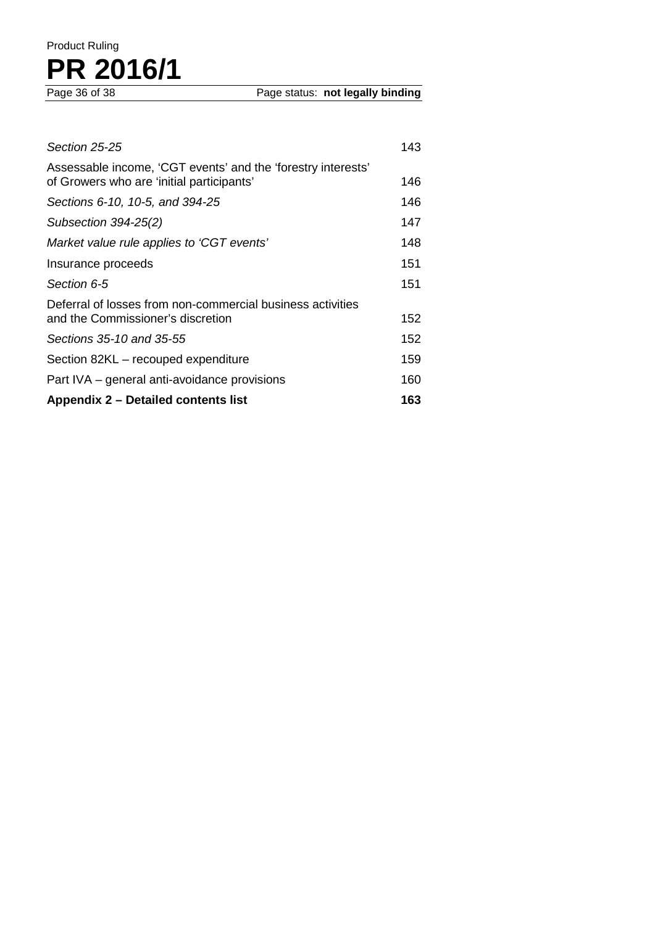# Product Ruling PR 2016/1

| Sections 35-10 and 35-55                                                                                  | 152  |
|-----------------------------------------------------------------------------------------------------------|------|
|                                                                                                           |      |
| Deferral of losses from non-commercial business activities<br>and the Commissioner's discretion           | 152  |
| Section 6-5                                                                                               | 151  |
| Insurance proceeds                                                                                        | 151  |
| Market value rule applies to 'CGT events'                                                                 | 148  |
| Subsection 394-25(2)                                                                                      | 147  |
| Sections 6-10, 10-5, and 394-25                                                                           | 146  |
| Assessable income, 'CGT events' and the 'forestry interests'<br>of Growers who are 'initial participants' | 146. |
| Section 25-25                                                                                             | 143  |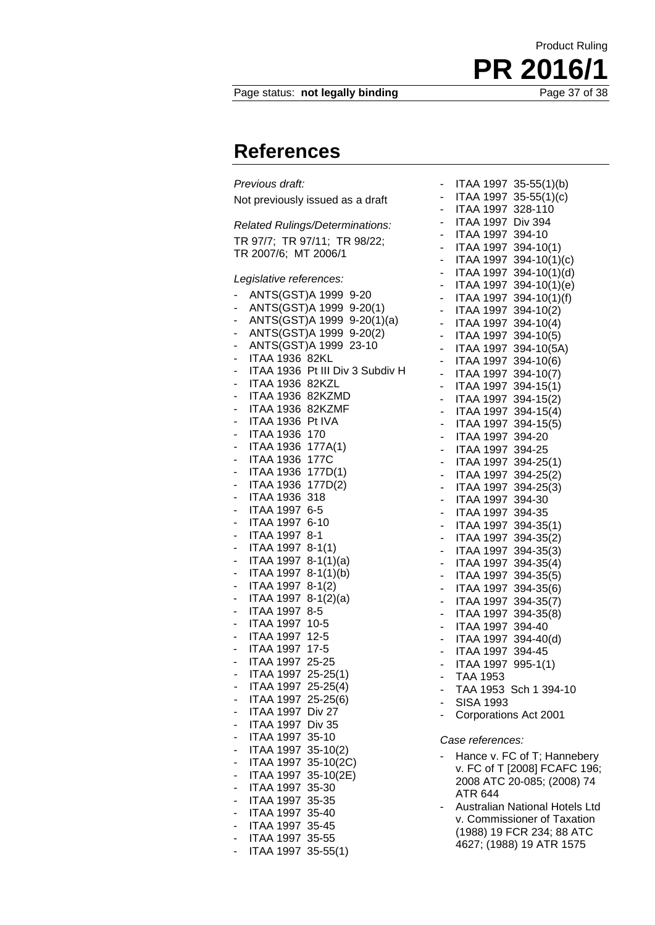#### Page status: **not legally binding**

### **References**

*Previous draft:* Not previously issued as a draft

*Related Rulings/Determinations:* TR 97/7; TR 97/11; TR 98/22; TR 2007/6; MT 2006/1

*Legislative references:*

|                              | ANTS(GST)A 1999 9-20                                 |                                 |
|------------------------------|------------------------------------------------------|---------------------------------|
| -                            | ANTS(GST)A 1999 9-20(1)                              |                                 |
| $\qquad \qquad \blacksquare$ |                                                      | ANTS(GST)A 1999 9-20(1)(a)      |
| -                            |                                                      | ANTS(GST)A 1999 9-20(2)         |
| $\overline{\phantom{a}}$     | ANTS(GST)A 1999 23-10                                |                                 |
| $\overline{a}$               | ITAA 1936 82KL                                       |                                 |
| -                            |                                                      | ITAA 1936 Pt III Div 3 Subdiv H |
| -                            | <b>ITAA 1936 82KZL</b>                               |                                 |
|                              | - ITAA 1936 82KZMD                                   |                                 |
| ÷,                           | ITAA 1936 82KZMF                                     |                                 |
| -                            | ITAA 1936 Pt IVA                                     |                                 |
|                              | - ITAA 1936 170                                      |                                 |
| ÷,                           | ITAA 1936 177A(1)                                    |                                 |
|                              | - ITAA 1936 177C                                     |                                 |
|                              | - ITAA 1936 177D(1)<br>- ITAA 1936 177D(2)           |                                 |
|                              |                                                      |                                 |
| $\mathbb{Z}^{\mathbb{Z}^2}$  | ITAA 1936 318                                        |                                 |
|                              | - ITAA 1997 6-5<br>- ITAA 1997 6-1                   |                                 |
|                              | ITAA 1997 6-10                                       |                                 |
| $\overline{\phantom{a}}$     | ITAA 1997 8-1                                        |                                 |
|                              | -     ITAA 1997  8-1(1)<br>-    ITAA 1997  8-1(1)(a) |                                 |
|                              |                                                      |                                 |
| $\qquad \qquad \blacksquare$ | ITAA 1997 8-1(1)(b)                                  |                                 |
|                              |                                                      |                                 |
|                              | -    ITAA 1997  8-1(2)<br>-    ITAA 1997  8-1(2)(a)  |                                 |
| $\overline{\phantom{a}}$     | ITAA 1997 8-5                                        |                                 |
|                              | -     ITAA 1997   10-5<br>-     ITAA 1997   12-5     |                                 |
|                              |                                                      |                                 |
| ÷                            | ITAA 1997 17-5                                       |                                 |
|                              | - ITAA 1997 25-25<br>- ITAA 1997 25-25(1)            |                                 |
|                              |                                                      |                                 |
| $\blacksquare$               | ITAA 1997 25-25(4)                                   |                                 |
|                              | - ITAA 1997 25-25(6)<br>- ITAA 1997 Div 27           |                                 |
|                              |                                                      |                                 |
| ÷,                           | ITAA 1997 Div 35                                     |                                 |
|                              | - ITAA 1997 35-10<br>- ITAA 1997 35-10(2)            |                                 |
|                              |                                                      |                                 |
| ц,                           | ITAA 1997 35-10(2C)                                  |                                 |
|                              |                                                      |                                 |
|                              | -    ITAA 1997  35-10(2E)<br>-    ITAA 1997  35-30   |                                 |
|                              | - ITAA 1997 35-35                                    |                                 |
|                              | - ITAA 1997 35-40<br>- ITAA 1997 35-45               |                                 |
| $\frac{1}{\sqrt{2}}$         |                                                      |                                 |
| $\overline{a}$               | ITAA 1997 35-55                                      |                                 |
|                              | ITAA 1997 35-55(1)                                   |                                 |

- ITAA 1997 35-55(1)(b) - ITAA 1997 35-55(1)(c) ITAA 1997 328-110 - ITAA 1997 Div 394 - ITAA 1997 394-10 - ITAA 1997 394-10(1) - ITAA 1997 394-10 $(1)(c)$ - ITAA 1997 394-10(1)(d) - ITAA 1997 394-10(1)(e) - ITAA 1997 394-10(1)(f) - ITAA 1997 394-10(2) - ITAA 1997 394-10(4) - ITAA 1997 394-10(5) - ITAA 1997 394-10(5A) - ITAA 1997 394-10(6) - ITAA 1997 394-10(7) ITAA 1997 394-15(1) ITAA 1997 394-15(2) - ITAA 1997 394-15(4) - ITAA 1997 394-15(5) - ITAA 1997 394-20 - ITAA 1997 394-25 - ITAA 1997 394-25(1) - ITAA 1997 394-25(2) - ITAA 1997 394-25(3) - ITAA 1997 394-30 ITAA 1997 394-35 - ITAA 1997 394-35(1) - ITAA 1997 394-35(2) - ITAA 1997 394-35(3) - ITAA 1997 394-35(4) - ITAA 1997 394-35(5) - ITAA 1997 394-35(6) - ITAA 1997 394-35(7) - ITAA 1997 394-35(8) - ITAA 1997 394-40 - ITAA 1997 394-40(d) - ITAA 1997 394-45 - ITAA 1997 995-1(1) - TAA 1953 - TAA 1953 Sch 1 394-10 SISA 1993 - Corporations Act 2001 *Case references:* Hance v. FC of T; Hannebery v. FC of T [2008] FCAFC 196;

- 2008 ATC 20-085; (2008) 74 ATR 644 - Australian National Hotels Ltd v. Commissioner of Taxation
- (1988) 19 FCR 234; 88 ATC 4627; (1988) 19 ATR 1575

**PR 2016/1**